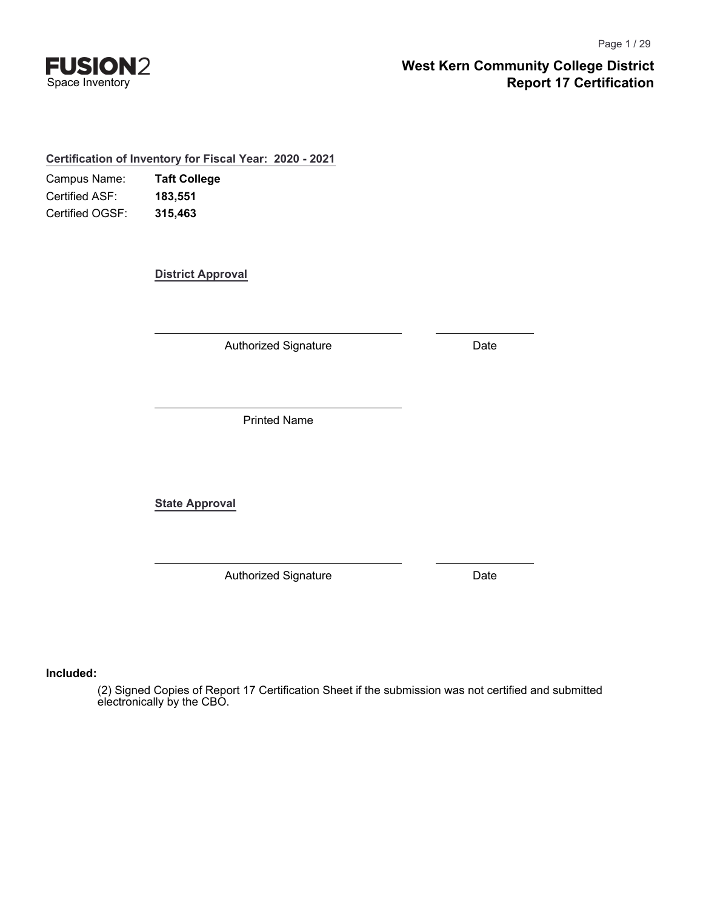

**Certification of Inventory for Fiscal Year: 2020 - 2021**

Campus Name: Certified ASF: Certified OGSF: **Taft College 183,551 315,463**

**District Approval**

Authorized Signature **Date** 

Printed Name

**State Approval**

Authorized Signature **Date** 

**Included:**

(2) Signed Copies of Report 17 Certification Sheet if the submission was not certified and submitted electronically by the CBO.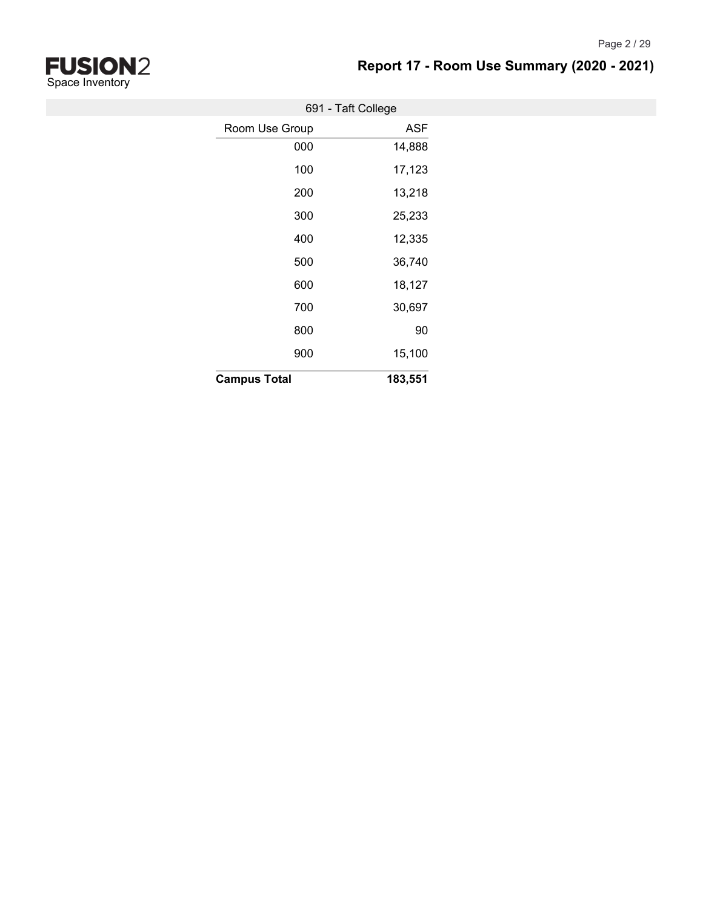

Page 2 / 29

| 691 - Taft College  |            |
|---------------------|------------|
| Room Use Group      | <b>ASF</b> |
| 000                 | 14,888     |
| 100                 | 17,123     |
| 200                 | 13,218     |
| 300                 | 25,233     |
| 400                 | 12,335     |
| 500                 | 36,740     |
| 600                 | 18,127     |
| 700                 | 30,697     |
| 800                 | 90         |
| 900                 | 15,100     |
| <b>Campus Total</b> | 183,551    |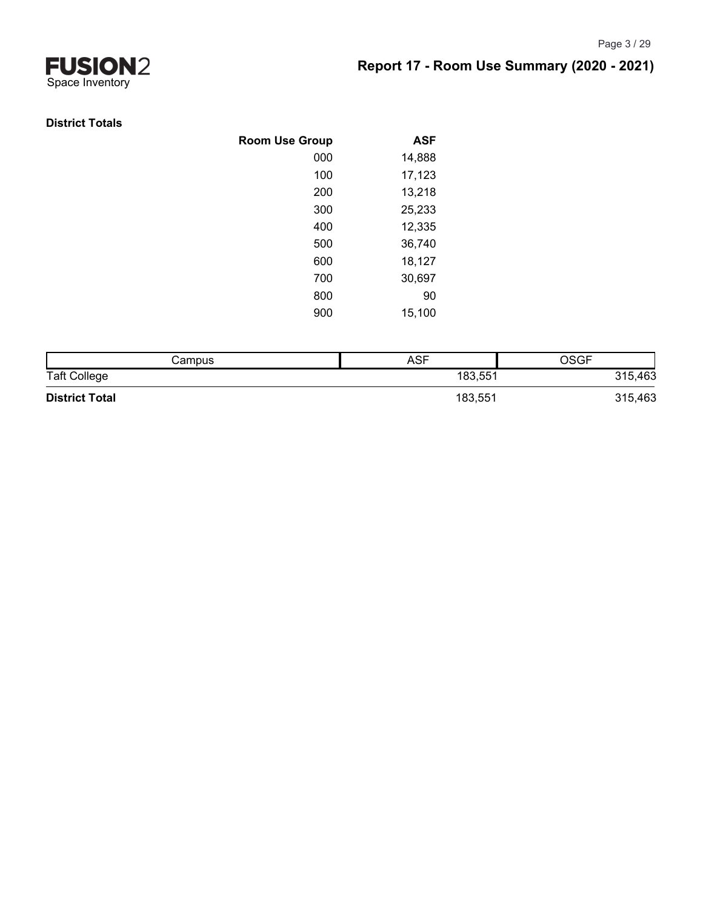

#### **District Totals**

| <b>Room Use Group</b> | <b>ASF</b> |
|-----------------------|------------|
| 000                   | 14,888     |
| 100                   | 17,123     |
| 200                   | 13,218     |
| 300                   | 25,233     |
| 400                   | 12,335     |
| 500                   | 36,740     |
| 600                   | 18,127     |
| 700                   | 30,697     |
| 800                   | 90         |
| 900                   | 15,100     |
|                       |            |

| Campus                | ASF     | <b>OSGF</b> |
|-----------------------|---------|-------------|
| <b>Taft College</b>   | 183,551 | 315,463     |
| <b>District Total</b> | 183,551 | 315,463     |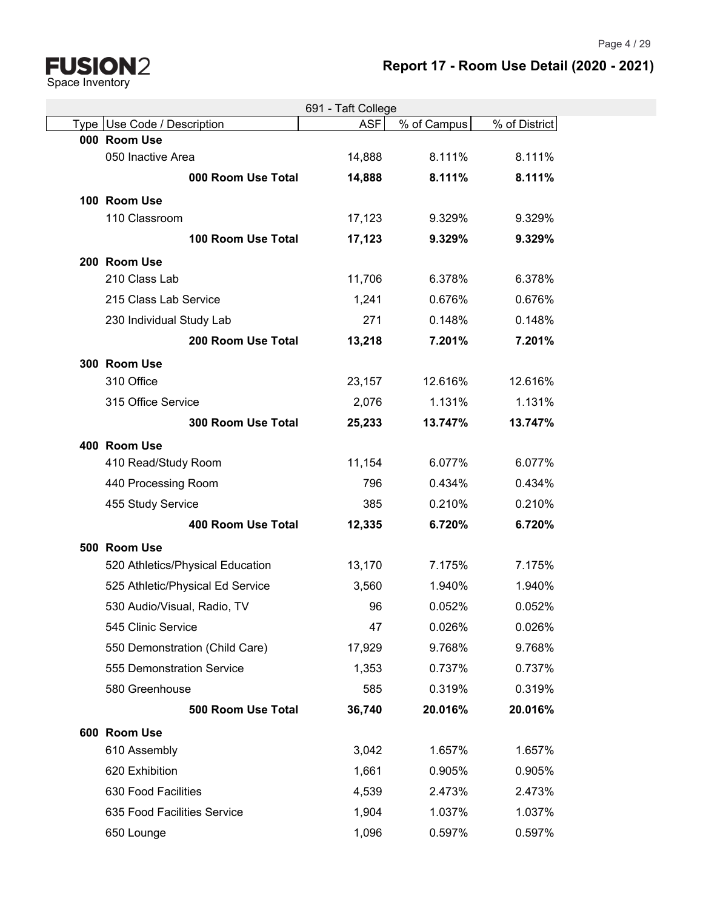Page 4 / 29

# **FUSION2**<br>Space Inventory

# **Report 17 - Room Use Detail (2020 - 2021)**

|                                  |                    | 691 - Taft College |             |               |
|----------------------------------|--------------------|--------------------|-------------|---------------|
| Type Use Code / Description      |                    | <b>ASF</b>         | % of Campus | % of District |
| 000 Room Use                     |                    |                    |             |               |
| 050 Inactive Area                |                    | 14,888             | 8.111%      | 8.111%        |
|                                  | 000 Room Use Total | 14,888             | 8.111%      | 8.111%        |
| 100 Room Use                     |                    |                    |             |               |
| 110 Classroom                    |                    | 17,123             | 9.329%      | 9.329%        |
|                                  | 100 Room Use Total | 17,123             | 9.329%      | 9.329%        |
| 200 Room Use                     |                    |                    |             |               |
| 210 Class Lab                    |                    | 11,706             | 6.378%      | 6.378%        |
| 215 Class Lab Service            |                    | 1,241              | 0.676%      | 0.676%        |
| 230 Individual Study Lab         |                    | 271                | 0.148%      | 0.148%        |
|                                  | 200 Room Use Total | 13,218             | 7.201%      | 7.201%        |
| 300 Room Use                     |                    |                    |             |               |
| 310 Office                       |                    | 23,157             | 12.616%     | 12.616%       |
| 315 Office Service               |                    | 2,076              | 1.131%      | 1.131%        |
|                                  | 300 Room Use Total | 25,233             | 13.747%     | 13.747%       |
| 400 Room Use                     |                    |                    |             |               |
| 410 Read/Study Room              |                    | 11,154             | 6.077%      | 6.077%        |
| 440 Processing Room              |                    | 796                | 0.434%      | 0.434%        |
| 455 Study Service                |                    | 385                | 0.210%      | 0.210%        |
|                                  | 400 Room Use Total | 12,335             | 6.720%      | 6.720%        |
| 500 Room Use                     |                    |                    |             |               |
| 520 Athletics/Physical Education |                    | 13,170             | 7.175%      | 7.175%        |
| 525 Athletic/Physical Ed Service |                    | 3,560              | 1.940%      | 1.940%        |
| 530 Audio/Visual, Radio, TV      |                    | 96                 | 0.052%      | 0.052%        |
| 545 Clinic Service               |                    | 47                 | 0.026%      | 0.026%        |
| 550 Demonstration (Child Care)   |                    | 17,929             | 9.768%      | 9.768%        |
| 555 Demonstration Service        |                    | 1,353              | 0.737%      | 0.737%        |
| 580 Greenhouse                   |                    | 585                | 0.319%      | 0.319%        |
|                                  | 500 Room Use Total | 36,740             | 20.016%     | 20.016%       |
| 600 Room Use                     |                    |                    |             |               |
| 610 Assembly                     |                    | 3,042              | 1.657%      | 1.657%        |
| 620 Exhibition                   |                    | 1,661              | 0.905%      | 0.905%        |
| 630 Food Facilities              |                    | 4,539              | 2.473%      | 2.473%        |
| 635 Food Facilities Service      |                    | 1,904              | 1.037%      | 1.037%        |
| 650 Lounge                       |                    | 1,096              | 0.597%      | 0.597%        |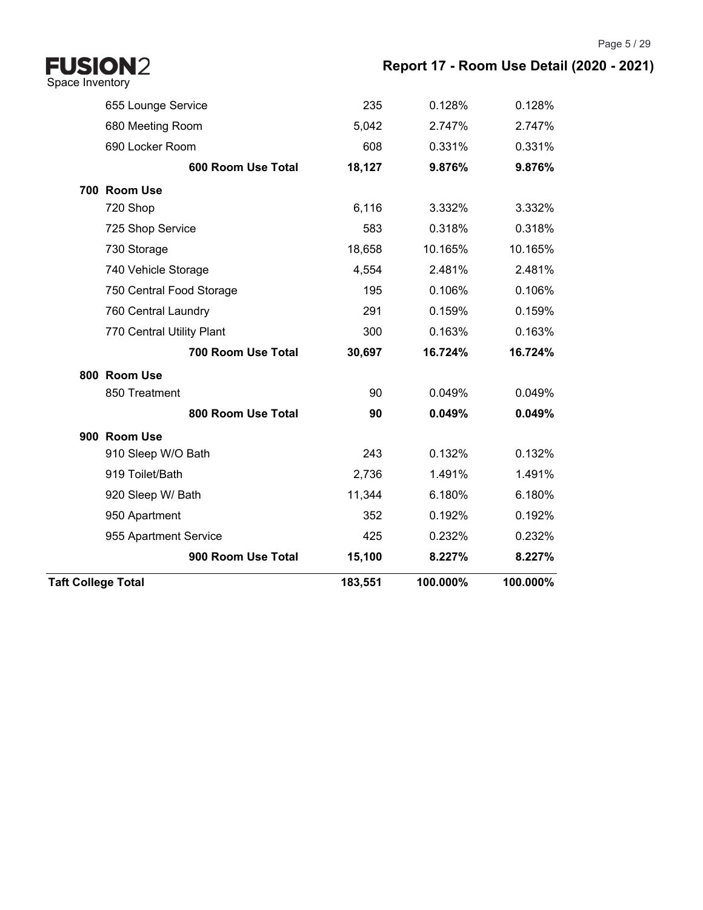**Report 17 - Room Use Detail (2020 - 2021)**

| FUSION2<br>Space Inventory |                           |         | Report 17 - Room Use Deta |          |
|----------------------------|---------------------------|---------|---------------------------|----------|
|                            | 655 Lounge Service        | 235     | 0.128%                    | 0.128%   |
|                            | 680 Meeting Room          | 5,042   | 2.747%                    | 2.747%   |
|                            | 690 Locker Room           | 608     | 0.331%                    | 0.331%   |
|                            | 600 Room Use Total        | 18,127  | 9.876%                    | 9.876%   |
|                            | 700 Room Use              |         |                           |          |
|                            | 720 Shop                  | 6,116   | 3.332%                    | 3.332%   |
|                            | 725 Shop Service          | 583     | 0.318%                    | 0.318%   |
|                            | 730 Storage               | 18,658  | 10.165%                   | 10.165%  |
|                            | 740 Vehicle Storage       | 4,554   | 2.481%                    | 2.481%   |
|                            | 750 Central Food Storage  | 195     | 0.106%                    | 0.106%   |
|                            | 760 Central Laundry       | 291     | 0.159%                    | 0.159%   |
|                            | 770 Central Utility Plant | 300     | 0.163%                    | 0.163%   |
|                            | 700 Room Use Total        | 30,697  | 16.724%                   | 16.724%  |
|                            | 800 Room Use              |         |                           |          |
|                            | 850 Treatment             | 90      | 0.049%                    | 0.049%   |
|                            | 800 Room Use Total        | 90      | 0.049%                    | 0.049%   |
|                            | 900 Room Use              |         |                           |          |
|                            | 910 Sleep W/O Bath        | 243     | 0.132%                    | 0.132%   |
|                            | 919 Toilet/Bath           | 2,736   | 1.491%                    | 1.491%   |
|                            | 920 Sleep W/ Bath         | 11,344  | 6.180%                    | 6.180%   |
|                            | 950 Apartment             | 352     | 0.192%                    | 0.192%   |
|                            | 955 Apartment Service     | 425     | 0.232%                    | 0.232%   |
|                            | 900 Room Use Total        | 15,100  | 8.227%                    | 8.227%   |
| <b>Taft College Total</b>  |                           | 183,551 | 100.000%                  | 100.000% |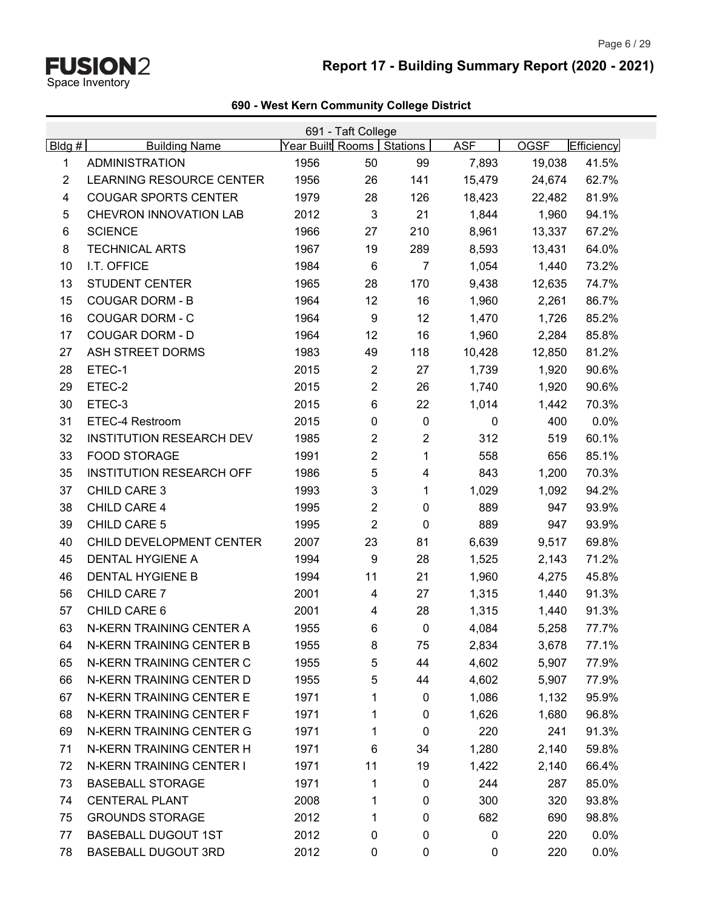# **Report 17 - Building Summary Report (2020 - 2021)**

|  |  |  | 690 - West Kern Community College District |  |  |
|--|--|--|--------------------------------------------|--|--|
|--|--|--|--------------------------------------------|--|--|

|                | 691 - Taft College              |                             |                |                |             |             |            |  |  |  |
|----------------|---------------------------------|-----------------------------|----------------|----------------|-------------|-------------|------------|--|--|--|
| Bldg#          | <b>Building Name</b>            | Year Built Rooms   Stations |                |                | <b>ASF</b>  | <b>OGSF</b> | Efficiency |  |  |  |
| 1              | <b>ADMINISTRATION</b>           | 1956                        | 50             | 99             | 7,893       | 19,038      | 41.5%      |  |  |  |
| $\overline{2}$ | <b>LEARNING RESOURCE CENTER</b> | 1956                        | 26             | 141            | 15,479      | 24,674      | 62.7%      |  |  |  |
| 4              | <b>COUGAR SPORTS CENTER</b>     | 1979                        | 28             | 126            | 18,423      | 22,482      | 81.9%      |  |  |  |
| 5              | CHEVRON INNOVATION LAB          | 2012                        | $\sqrt{3}$     | 21             | 1,844       | 1,960       | 94.1%      |  |  |  |
| 6              | <b>SCIENCE</b>                  | 1966                        | 27             | 210            | 8,961       | 13,337      | 67.2%      |  |  |  |
| 8              | <b>TECHNICAL ARTS</b>           | 1967                        | 19             | 289            | 8,593       | 13,431      | 64.0%      |  |  |  |
| 10             | I.T. OFFICE                     | 1984                        | $\,6$          | $\overline{7}$ | 1,054       | 1,440       | 73.2%      |  |  |  |
| 13             | <b>STUDENT CENTER</b>           | 1965                        | 28             | 170            | 9,438       | 12,635      | 74.7%      |  |  |  |
| 15             | <b>COUGAR DORM - B</b>          | 1964                        | 12             | 16             | 1,960       | 2,261       | 86.7%      |  |  |  |
| 16             | <b>COUGAR DORM - C</b>          | 1964                        | 9              | 12             | 1,470       | 1,726       | 85.2%      |  |  |  |
| 17             | <b>COUGAR DORM - D</b>          | 1964                        | 12             | 16             | 1,960       | 2,284       | 85.8%      |  |  |  |
| 27             | ASH STREET DORMS                | 1983                        | 49             | 118            | 10,428      | 12,850      | 81.2%      |  |  |  |
| 28             | ETEC-1                          | 2015                        | $\overline{2}$ | 27             | 1,739       | 1,920       | 90.6%      |  |  |  |
| 29             | ETEC-2                          | 2015                        | $\overline{c}$ | 26             | 1,740       | 1,920       | 90.6%      |  |  |  |
| 30             | ETEC-3                          | 2015                        | $\,6$          | 22             | 1,014       | 1,442       | 70.3%      |  |  |  |
| 31             | ETEC-4 Restroom                 | 2015                        | $\pmb{0}$      | $\pmb{0}$      | 0           | 400         | 0.0%       |  |  |  |
| 32             | <b>INSTITUTION RESEARCH DEV</b> | 1985                        | 2              | $\overline{2}$ | 312         | 519         | 60.1%      |  |  |  |
| 33             | FOOD STORAGE                    | 1991                        | 2              | 1              | 558         | 656         | 85.1%      |  |  |  |
| 35             | <b>INSTITUTION RESEARCH OFF</b> | 1986                        | 5              | 4              | 843         | 1,200       | 70.3%      |  |  |  |
| 37             | <b>CHILD CARE 3</b>             | 1993                        | 3              | 1              | 1,029       | 1,092       | 94.2%      |  |  |  |
| 38             | CHILD CARE 4                    | 1995                        | 2              | $\pmb{0}$      | 889         | 947         | 93.9%      |  |  |  |
| 39             | CHILD CARE 5                    | 1995                        | $\overline{2}$ | $\mathbf 0$    | 889         | 947         | 93.9%      |  |  |  |
| 40             | CHILD DEVELOPMENT CENTER        | 2007                        | 23             | 81             | 6,639       | 9,517       | 69.8%      |  |  |  |
| 45             | DENTAL HYGIENE A                | 1994                        | 9              | 28             | 1,525       | 2,143       | 71.2%      |  |  |  |
| 46             | <b>DENTAL HYGIENE B</b>         | 1994                        | 11             | 21             | 1,960       | 4,275       | 45.8%      |  |  |  |
| 56             | CHILD CARE 7                    | 2001                        | 4              | 27             | 1,315       | 1,440       | 91.3%      |  |  |  |
| 57             | CHILD CARE 6                    | 2001                        | 4              | 28             | 1,315       | 1,440       | 91.3%      |  |  |  |
| 63             | N-KERN TRAINING CENTER A        | 1955                        | 6              | $\mathbf 0$    | 4,084       | 5,258       | 77.7%      |  |  |  |
| 64             | N-KERN TRAINING CENTER B        | 1955                        | 8              | 75             | 2,834       | 3,678       | 77.1%      |  |  |  |
| 65             | N-KERN TRAINING CENTER C        | 1955                        | 5              | 44             | 4,602       | 5,907       | 77.9%      |  |  |  |
| 66             | N-KERN TRAINING CENTER D        | 1955                        | 5              | 44             | 4,602       | 5,907       | 77.9%      |  |  |  |
| 67             | N-KERN TRAINING CENTER E        | 1971                        | 1              | 0              | 1,086       | 1,132       | 95.9%      |  |  |  |
| 68             | N-KERN TRAINING CENTER F        | 1971                        | 1              | 0              | 1,626       | 1,680       | 96.8%      |  |  |  |
| 69             | N-KERN TRAINING CENTER G        | 1971                        | 1              | 0              | 220         | 241         | 91.3%      |  |  |  |
| 71             | N-KERN TRAINING CENTER H        | 1971                        | 6              | 34             | 1,280       | 2,140       | 59.8%      |  |  |  |
| 72             | N-KERN TRAINING CENTER I        | 1971                        | 11             | 19             | 1,422       | 2,140       | 66.4%      |  |  |  |
| 73             | <b>BASEBALL STORAGE</b>         | 1971                        | 1              | 0              | 244         | 287         | 85.0%      |  |  |  |
| 74             | <b>CENTERAL PLANT</b>           | 2008                        | 1              | 0              | 300         | 320         | 93.8%      |  |  |  |
| 75             | <b>GROUNDS STORAGE</b>          | 2012                        | 1              | 0              | 682         | 690         | 98.8%      |  |  |  |
| 77             | <b>BASEBALL DUGOUT 1ST</b>      | 2012                        | 0              | 0              | 0           | 220         | 0.0%       |  |  |  |
| 78             | <b>BASEBALL DUGOUT 3RD</b>      | 2012                        | $\pmb{0}$      | 0              | $\mathbf 0$ | 220         | 0.0%       |  |  |  |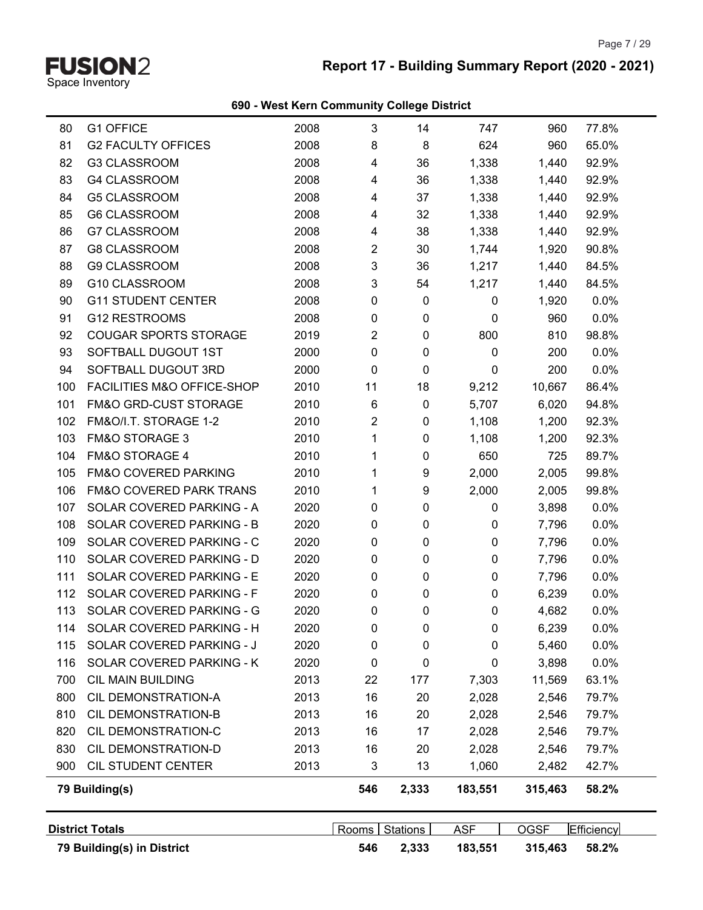

# **Report 17 - Building Summary Report (2020 - 2021)**

|            | 79 Building(s) in District                           |              | 546                       | 2,333           | 183,551      | 315,463        | 58.2%             |
|------------|------------------------------------------------------|--------------|---------------------------|-----------------|--------------|----------------|-------------------|
|            | <b>District Totals</b>                               |              | Rooms                     | <b>Stations</b> | <b>ASF</b>   | <b>OGSF</b>    | <b>Efficiency</b> |
|            |                                                      |              |                           |                 |              |                |                   |
|            | 79 Building(s)                                       |              | 546                       | 2,333           | 183,551      | 315,463        | 58.2%             |
| 900        | CIL STUDENT CENTER                                   | 2013         | 3                         | 13              | 1,060        | 2,482          | 42.7%             |
| 830        | CIL DEMONSTRATION-D                                  | 2013         | 16                        | 20              | 2,028        | 2,546          | 79.7%             |
| 820        | CIL DEMONSTRATION-C                                  | 2013         | 16                        | 17              | 2,028        | 2,546          | 79.7%             |
| 810        | CIL DEMONSTRATION-B                                  | 2013         | 16                        | 20              | 2,028        | 2,546          | 79.7%             |
| 800        | CIL DEMONSTRATION-A                                  | 2013         | 16                        | 20              | 2,028        | 2,546          | 79.7%             |
| 700        | <b>CIL MAIN BUILDING</b>                             | 2013         | 22                        | 177             | 7,303        | 11,569         | 63.1%             |
| 116        | SOLAR COVERED PARKING - K                            | 2020         | 0                         | 0               | 0            | 3,898          | 0.0%              |
| 115        | SOLAR COVERED PARKING - J                            | 2020         | 0                         | 0               | 0            | 5,460          | 0.0%              |
| 114        | SOLAR COVERED PARKING - H                            | 2020         | 0                         | 0               | 0            | 6,239          | 0.0%              |
| 113        | SOLAR COVERED PARKING - G                            | 2020         | 0                         | 0               | 0            | 4,682          | 0.0%              |
| 112        | SOLAR COVERED PARKING - F                            | 2020         | 0                         | 0               | 0            | 6,239          | 0.0%              |
| 111        | SOLAR COVERED PARKING - E                            | 2020         | 0                         | 0               | 0            | 7,796          | 0.0%              |
| 110        | SOLAR COVERED PARKING - D                            | 2020         | 0<br>$\mathbf 0$          | 0               | 0            | 7,796          | 0.0%              |
| 109        | SOLAR COVERED PARKING - C                            | 2020         | 0                         | 0<br>0          | 0            | 7,796          | 0.0%              |
| 107<br>108 | SOLAR COVERED PARKING - B                            | 2020<br>2020 | 0                         | 0               | 0<br>0       | 3,898<br>7,796 | 0.0%<br>0.0%      |
| 106        | FM&O COVERED PARK TRANS<br>SOLAR COVERED PARKING - A | 2010         | 1                         | 9               | 2,000        | 2,005          | 99.8%             |
| 105        | FM&O COVERED PARKING                                 | 2010         | 1                         | 9               | 2,000        | 2,005          | 99.8%             |
| 104        | <b>FM&amp;O STORAGE 4</b>                            | 2010         | 1                         | 0               | 650          | 725            | 89.7%             |
| 103        |                                                      | 2010         | 1                         | 0               | 1,108        | 1,200          | 92.3%             |
| 102        | FM&O/I.T. STORAGE 1-2<br><b>FM&amp;O STORAGE 3</b>   | 2010         | $\overline{2}$            | 0               | 1,108        | 1,200          | 92.3%             |
| 101        | FM&O GRD-CUST STORAGE                                | 2010         | $\,6$                     | 0               | 5,707        | 6,020          | 94.8%             |
| 100        | FACILITIES M&O OFFICE-SHOP                           | 2010         | 11                        | 18              | 9,212        | 10,667         | 86.4%             |
| 94         | SOFTBALL DUGOUT 3RD                                  | 2000         | $\mathbf 0$               | 0               | 0            | 200            | 0.0%              |
| 93         | SOFTBALL DUGOUT 1ST                                  | 2000         | $\pmb{0}$                 | 0               | $\mathbf{0}$ | 200            | 0.0%              |
| 92         | <b>COUGAR SPORTS STORAGE</b>                         | 2019         | 2                         | 0               | 800          | 810            | 98.8%             |
| 91         | <b>G12 RESTROOMS</b>                                 | 2008         | 0                         | 0               | $\mathbf{0}$ | 960            | 0.0%              |
| 90         | <b>G11 STUDENT CENTER</b>                            | 2008         | 0                         | 0               | 0            | 1,920          | 0.0%              |
| 89         | G10 CLASSROOM                                        | 2008         | $\mathfrak{Z}$            | 54              | 1,217        | 1,440          | 84.5%             |
| 88         | <b>G9 CLASSROOM</b>                                  | 2008         | $\ensuremath{\mathsf{3}}$ | 36              | 1,217        | 1,440          | 84.5%             |
| 87         | <b>G8 CLASSROOM</b>                                  | 2008         | $\overline{2}$            | 30              | 1,744        | 1,920          | 90.8%             |
| 86         | G7 CLASSROOM                                         | 2008         | 4                         | 38              | 1,338        | 1,440          | 92.9%             |
| 85         | <b>G6 CLASSROOM</b>                                  | 2008         | 4                         | 32              | 1,338        | 1,440          | 92.9%             |
| 84         | <b>G5 CLASSROOM</b>                                  | 2008         | 4                         | 37              | 1,338        | 1,440          | 92.9%             |
| 83         | <b>G4 CLASSROOM</b>                                  | 2008         | 4                         | 36              | 1,338        | 1,440          | 92.9%             |
| 82         | G3 CLASSROOM                                         | 2008         | 4                         | 36              | 1,338        | 1,440          | 92.9%             |
| 81         | <b>G2 FACULTY OFFICES</b>                            | 2008         | 8                         | 8               | 624          | 960            | 65.0%             |
|            |                                                      |              |                           |                 |              |                |                   |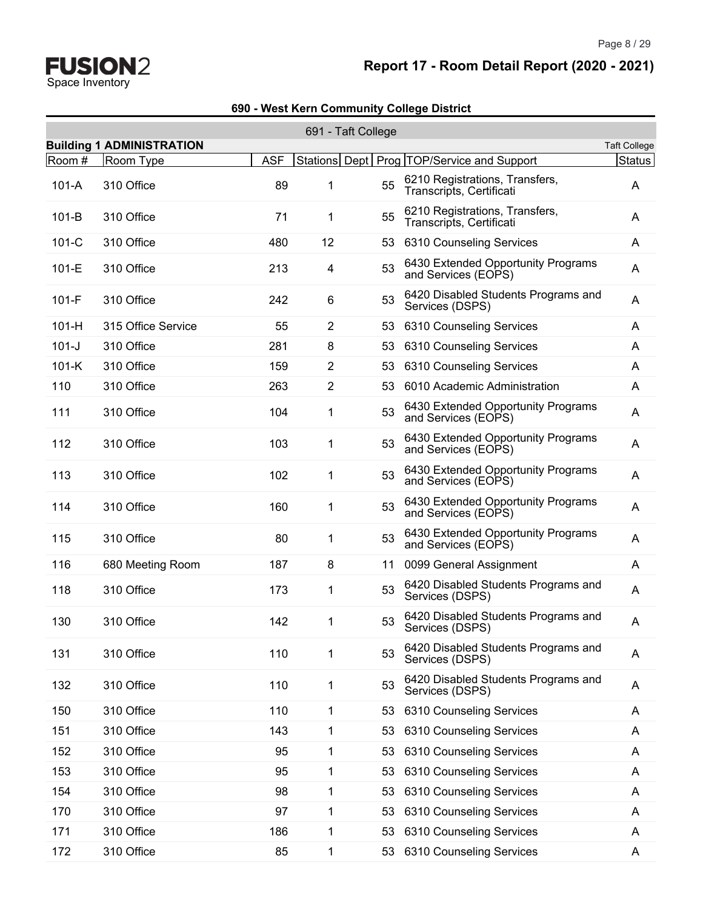# **Report 17 - Room Detail Report (2020 - 2021)**

|           |                                  |            | 691 - Taft College |    |                                                            |                     |
|-----------|----------------------------------|------------|--------------------|----|------------------------------------------------------------|---------------------|
|           | <b>Building 1 ADMINISTRATION</b> |            |                    |    |                                                            | <b>Taft College</b> |
| Room #    | Room Type                        | <b>ASF</b> |                    |    | Stations Dept   Prog   TOP/Service and Support             | Status              |
| $101-A$   | 310 Office                       | 89         | 1                  | 55 | 6210 Registrations, Transfers,<br>Transcripts, Certificati | A                   |
| $101-B$   | 310 Office                       | 71         | 1                  | 55 | 6210 Registrations, Transfers,<br>Transcripts, Certificati | A                   |
| $101-C$   | 310 Office                       | 480        | 12                 | 53 | 6310 Counseling Services                                   | A                   |
| $101-E$   | 310 Office                       | 213        | 4                  | 53 | 6430 Extended Opportunity Programs<br>and Services (EOPS)  | A                   |
| $101-F$   | 310 Office                       | 242        | 6                  | 53 | 6420 Disabled Students Programs and<br>Services (DSPS)     | A                   |
| $101-H$   | 315 Office Service               | 55         | 2                  | 53 | 6310 Counseling Services                                   | A                   |
| $101 - J$ | 310 Office                       | 281        | 8                  | 53 | 6310 Counseling Services                                   | A                   |
| $101-K$   | 310 Office                       | 159        | 2                  | 53 | 6310 Counseling Services                                   | A                   |
| 110       | 310 Office                       | 263        | $\overline{2}$     | 53 | 6010 Academic Administration                               | A                   |
| 111       | 310 Office                       | 104        | 1                  | 53 | 6430 Extended Opportunity Programs<br>and Services (EOPS)  | Α                   |
| 112       | 310 Office                       | 103        | 1                  | 53 | 6430 Extended Opportunity Programs<br>and Services (EOPS)  | A                   |
| 113       | 310 Office                       | 102        | 1                  | 53 | 6430 Extended Opportunity Programs<br>and Services (EOPS)  | A                   |
| 114       | 310 Office                       | 160        | 1                  | 53 | 6430 Extended Opportunity Programs<br>and Services (EOPS)  | A                   |
| 115       | 310 Office                       | 80         | 1                  | 53 | 6430 Extended Opportunity Programs<br>and Services (EOPS)  | A                   |
| 116       | 680 Meeting Room                 | 187        | 8                  | 11 | 0099 General Assignment                                    | A                   |
| 118       | 310 Office                       | 173        | 1                  | 53 | 6420 Disabled Students Programs and<br>Services (DSPS)     | A                   |
| 130       | 310 Office                       | 142        | 1                  | 53 | 6420 Disabled Students Programs and<br>Services (DSPS)     | A                   |
| 131       | 310 Office                       | 110        | 1                  | 53 | 6420 Disabled Students Programs and<br>Services (DSPS)     | A                   |
| 132       | 310 Office                       | 110        | 1                  | 53 | 6420 Disabled Students Programs and<br>Services (DSPS)     | Α                   |
| 150       | 310 Office                       | 110        | 1                  | 53 | 6310 Counseling Services                                   | A                   |
| 151       | 310 Office                       | 143        | 1                  | 53 | 6310 Counseling Services                                   | A                   |
| 152       | 310 Office                       | 95         | 1                  | 53 | 6310 Counseling Services                                   | A                   |
| 153       | 310 Office                       | 95         | 1                  | 53 | 6310 Counseling Services                                   | A                   |
| 154       | 310 Office                       | 98         | 1                  | 53 | 6310 Counseling Services                                   | A                   |
| 170       | 310 Office                       | 97         | 1                  | 53 | 6310 Counseling Services                                   | A                   |
| 171       | 310 Office                       | 186        | 1                  | 53 | 6310 Counseling Services                                   | A                   |
| 172       | 310 Office                       | 85         | 1                  | 53 | 6310 Counseling Services                                   | A                   |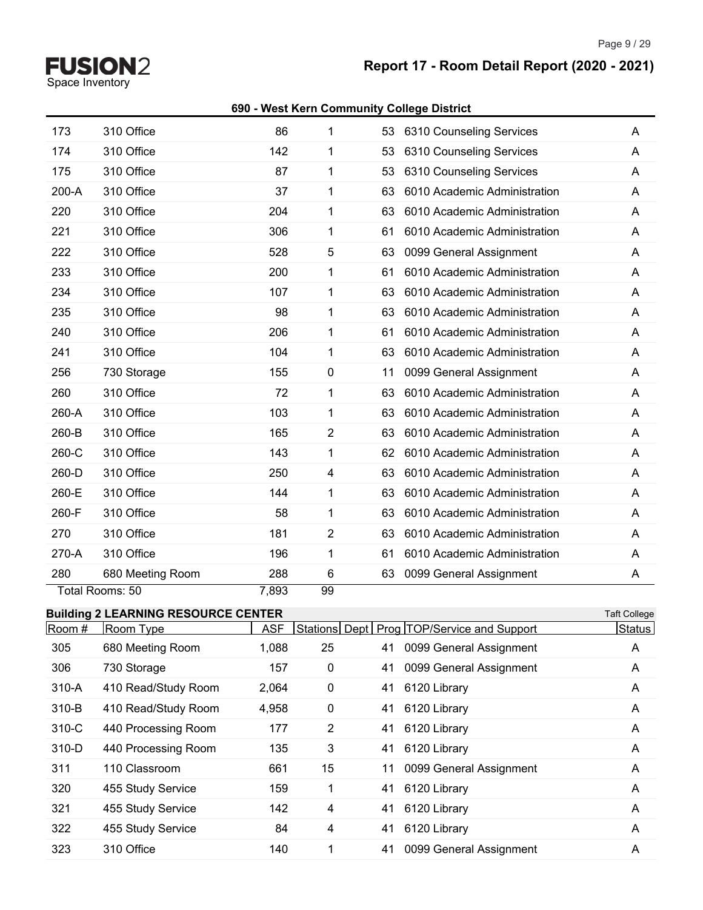Page 9 / 29

**Report 17 - Room Detail Report (2020 - 2021)**

# **FUSION2**<br>Space Inventory

| 173    | 310 Office                                 | 86         | 1              | 53 | 6310 Counseling Services                       | A                   |
|--------|--------------------------------------------|------------|----------------|----|------------------------------------------------|---------------------|
| 174    | 310 Office                                 | 142        | 1              | 53 | 6310 Counseling Services                       | A                   |
| 175    | 310 Office                                 | 87         | 1              | 53 | 6310 Counseling Services                       | Α                   |
| 200-A  | 310 Office                                 | 37         | 1              | 63 | 6010 Academic Administration                   | A                   |
| 220    | 310 Office                                 | 204        | 1              | 63 | 6010 Academic Administration                   | A                   |
| 221    | 310 Office                                 | 306        | 1              | 61 | 6010 Academic Administration                   | A                   |
| 222    | 310 Office                                 | 528        | 5              | 63 | 0099 General Assignment                        | A                   |
| 233    | 310 Office                                 | 200        | 1              | 61 | 6010 Academic Administration                   | A                   |
| 234    | 310 Office                                 | 107        | 1              | 63 | 6010 Academic Administration                   | A                   |
| 235    | 310 Office                                 | 98         | 1              | 63 | 6010 Academic Administration                   | A                   |
| 240    | 310 Office                                 | 206        | 1              | 61 | 6010 Academic Administration                   | A                   |
| 241    | 310 Office                                 | 104        | 1              | 63 | 6010 Academic Administration                   | A                   |
| 256    | 730 Storage                                | 155        | 0              | 11 | 0099 General Assignment                        | A                   |
| 260    | 310 Office                                 | 72         | 1              | 63 | 6010 Academic Administration                   | A                   |
| 260-A  | 310 Office                                 | 103        | 1              | 63 | 6010 Academic Administration                   | A                   |
| 260-B  | 310 Office                                 | 165        | $\overline{2}$ | 63 | 6010 Academic Administration                   | A                   |
| 260-C  | 310 Office                                 | 143        | 1              | 62 | 6010 Academic Administration                   | A                   |
| 260-D  | 310 Office                                 | 250        | 4              | 63 | 6010 Academic Administration                   | Α                   |
| 260-E  | 310 Office                                 | 144        | 1              | 63 | 6010 Academic Administration                   | A                   |
| 260-F  | 310 Office                                 | 58         | 1              | 63 | 6010 Academic Administration                   | A                   |
| 270    | 310 Office                                 | 181        | $\overline{2}$ | 63 | 6010 Academic Administration                   | A                   |
| 270-A  | 310 Office                                 | 196        | 1              | 61 | 6010 Academic Administration                   | A                   |
| 280    | 680 Meeting Room                           | 288        | 6              | 63 | 0099 General Assignment                        | Α                   |
|        | Total Rooms: 50                            | 7,893      | 99             |    |                                                |                     |
|        | <b>Building 2 LEARNING RESOURCE CENTER</b> |            |                |    |                                                | <b>Taft College</b> |
| Room # | Room Type                                  | <b>ASF</b> |                |    | Stations Dept   Prog   TOP/Service and Support | Status              |
| 305    | 680 Meeting Room                           | 1,088      | 25             | 41 | 0099 General Assignment                        | A                   |
| 306    | 730 Storage                                | 157        | 0              | 41 | 0099 General Assignment                        | A                   |
| 310-A  | 410 Read/Study Room                        | 2,064      | 0              | 41 | 6120 Library                                   | A                   |
| 310-B  | 410 Read/Study Room                        | 4,958      | 0              | 41 | 6120 Library                                   | A                   |
| 310-C  | 440 Processing Room                        | 177        | $\overline{2}$ | 41 | 6120 Library                                   | A                   |
| 310-D  | 440 Processing Room                        | 135        | 3              | 41 | 6120 Library                                   | A                   |
| 311    | 110 Classroom                              | 661        | 15             | 11 | 0099 General Assignment                        | A                   |
| 320    | 455 Study Service                          | 159        | 1              | 41 | 6120 Library                                   | A                   |
| 321    | 455 Study Service                          | 142        | 4              | 41 | 6120 Library                                   | A                   |
| 322    | 455 Study Service                          | 84         | 4              | 41 | 6120 Library                                   | A                   |
| 323    | 310 Office                                 | 140        | 1              | 41 | 0099 General Assignment                        | A                   |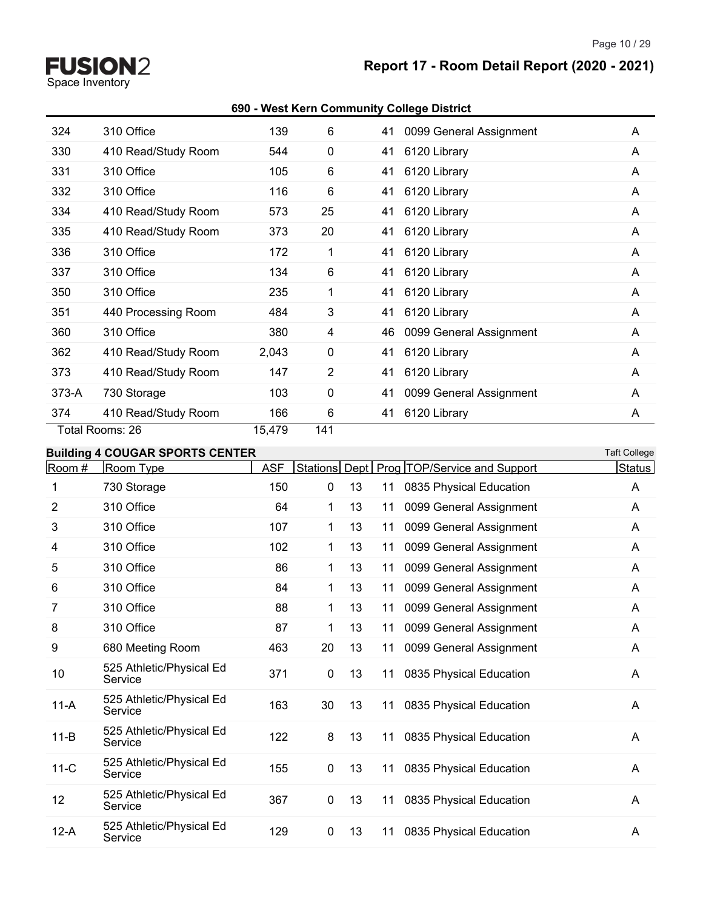Space Inventory

# **Report 17 - Room Detail Report (2020 - 2021)**

#### **690 - West Kern Community College District**

| 324     | 310 Office          | 139    | 6           | 0099 General Assignment<br>41 | A |
|---------|---------------------|--------|-------------|-------------------------------|---|
| 330     | 410 Read/Study Room | 544    | $\mathbf 0$ | 6120 Library<br>41            | A |
| 331     | 310 Office          | 105    | 6           | 41<br>6120 Library            | A |
| 332     | 310 Office          | 116    | 6           | 41<br>6120 Library            | A |
| 334     | 410 Read/Study Room | 573    | 25          | 6120 Library<br>41            | A |
| 335     | 410 Read/Study Room | 373    | 20          | 41<br>6120 Library            | A |
| 336     | 310 Office          | 172    | 1           | 6120 Library<br>41            | A |
| 337     | 310 Office          | 134    | 6           | 6120 Library<br>41            | A |
| 350     | 310 Office          | 235    | 1           | 6120 Library<br>41            | A |
| 351     | 440 Processing Room | 484    | 3           | 6120 Library<br>41            | A |
| 360     | 310 Office          | 380    | 4           | 0099 General Assignment<br>46 | A |
| 362     | 410 Read/Study Room | 2,043  | $\mathbf 0$ | 41<br>6120 Library            | A |
| 373     | 410 Read/Study Room | 147    | 2           | 6120 Library<br>41            | A |
| $373-A$ | 730 Storage         | 103    | $\mathbf 0$ | 0099 General Assignment<br>41 | A |
| 374     | 410 Read/Study Room | 166    | 6           | 6120 Library<br>41            | A |
|         | Total Rooms: 26     | 15,479 | 141         |                               |   |

# **Building 4 COUGAR SPORTS CENTER Taft College**

| Room #   | Room Type                           | <b>ASF</b> | Stations     | Dept |    | Prog TOP/Service and Support | <b>Status</b> |
|----------|-------------------------------------|------------|--------------|------|----|------------------------------|---------------|
| 1        | 730 Storage                         | 150        | 0            | 13   | 11 | 0835 Physical Education      | A             |
| 2        | 310 Office                          | 64         | $\mathbf 1$  | 13   | 11 | 0099 General Assignment      | A             |
| 3        | 310 Office                          | 107        | 1            | 13   | 11 | 0099 General Assignment      | A             |
| 4        | 310 Office                          | 102        | 1            | 13   | 11 | 0099 General Assignment      | A             |
| 5        | 310 Office                          | 86         | 1            | 13   | 11 | 0099 General Assignment      | A             |
| 6        | 310 Office                          | 84         | $\mathbf 1$  | 13   | 11 | 0099 General Assignment      | A             |
| 7        | 310 Office                          | 88         | 1            | 13   | 11 | 0099 General Assignment      | A             |
| 8        | 310 Office                          | 87         | 1            | 13   | 11 | 0099 General Assignment      | A             |
| 9        | 680 Meeting Room                    | 463        | 20           | 13   | 11 | 0099 General Assignment      | A             |
| 10       | 525 Athletic/Physical Ed<br>Service | 371        | $\mathbf{0}$ | 13   | 11 | 0835 Physical Education      | A             |
| $11-A$   | 525 Athletic/Physical Ed<br>Service | 163        | 30           | 13   | 11 | 0835 Physical Education      | A             |
| $11 - B$ | 525 Athletic/Physical Ed<br>Service | 122        | 8            | 13   | 11 | 0835 Physical Education      | Α             |
| $11-C$   | 525 Athletic/Physical Ed<br>Service | 155        | 0            | 13   | 11 | 0835 Physical Education      | A             |
| 12       | 525 Athletic/Physical Ed<br>Service | 367        | $\mathbf 0$  | 13   | 11 | 0835 Physical Education      | A             |
| $12-A$   | 525 Athletic/Physical Ed<br>Service | 129        | $\mathbf{0}$ | 13   | 11 | 0835 Physical Education      | A             |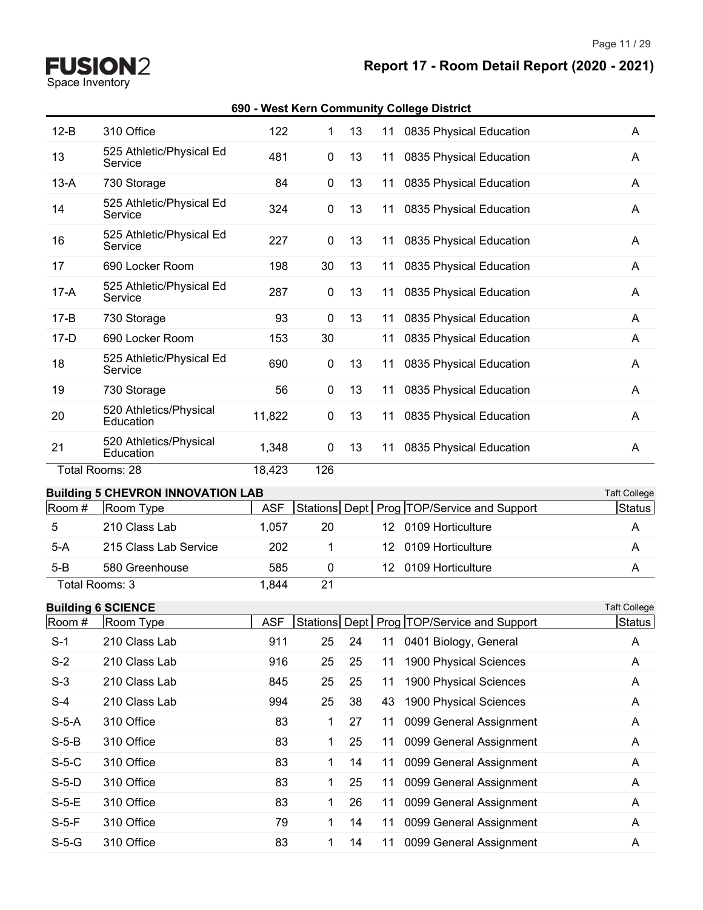# **Report 17 - Room Detail Report (2020 - 2021)**

Page 11 / 29

| $12-B$   | 310 Office                               | 122        | 1            | 13 | 11               | 0835 Physical Education                        | A                   |
|----------|------------------------------------------|------------|--------------|----|------------------|------------------------------------------------|---------------------|
| 13       | 525 Athletic/Physical Ed<br>Service      | 481        | 0            | 13 | 11               | 0835 Physical Education                        | A                   |
| $13-A$   | 730 Storage                              | 84         | 0            | 13 | 11               | 0835 Physical Education                        | A                   |
| 14       | 525 Athletic/Physical Ed<br>Service      | 324        | 0            | 13 | 11               | 0835 Physical Education                        | A                   |
| 16       | 525 Athletic/Physical Ed<br>Service      | 227        | 0            | 13 | 11               | 0835 Physical Education                        | A                   |
| 17       | 690 Locker Room                          | 198        | 30           | 13 | 11               | 0835 Physical Education                        | A                   |
| $17-A$   | 525 Athletic/Physical Ed<br>Service      | 287        | 0            | 13 | 11               | 0835 Physical Education                        | A                   |
| $17 - B$ | 730 Storage                              | 93         | 0            | 13 | 11               | 0835 Physical Education                        | A                   |
| $17-D$   | 690 Locker Room                          | 153        | 30           |    | 11               | 0835 Physical Education                        | A                   |
| 18       | 525 Athletic/Physical Ed<br>Service      | 690        | 0            | 13 | 11               | 0835 Physical Education                        | A                   |
| 19       | 730 Storage                              | 56         | 0            | 13 | 11               | 0835 Physical Education                        | A                   |
| 20       | 520 Athletics/Physical<br>Education      | 11,822     | 0            | 13 | 11               | 0835 Physical Education                        | A                   |
| 21       | 520 Athletics/Physical<br>Education      | 1,348      | 0            | 13 | 11               | 0835 Physical Education                        | A                   |
|          | Total Rooms: 28                          | 18,423     | 126          |    |                  |                                                |                     |
|          | <b>Building 5 CHEVRON INNOVATION LAB</b> |            |              |    |                  |                                                | <b>Taft College</b> |
| Room #   | Room Type                                | <b>ASF</b> |              |    |                  | Stations Dept   Prog   TOP/Service and Support | Status              |
| 5        | 210 Class Lab                            | 1,057      | 20           |    |                  | 12 0109 Horticulture                           | A                   |
| $5-A$    | 215 Class Lab Service                    | 202        | 1            |    | 12               | 0109 Horticulture                              | A                   |
| $5 - B$  | 580 Greenhouse                           | 585        | 0            |    | 12 <sup>12</sup> | 0109 Horticulture                              | A                   |
|          | Total Rooms: 3                           | 1,844      | 21           |    |                  |                                                |                     |
|          | <b>Building 6 SCIENCE</b>                |            |              |    |                  |                                                | <b>Taft College</b> |
| Room #   | Room Type                                | <b>ASF</b> |              |    |                  | Stations Dept   Prog   TOP/Service and Support | Sta <u>tus</u>      |
| $S-1$    | 210 Class Lab                            | 911        | 25           | 24 | 11               | 0401 Biology, General                          | A                   |
| $S-2$    | 210 Class Lab                            | 916        | 25           | 25 | 11               | 1900 Physical Sciences                         | A                   |
| $S-3$    | 210 Class Lab                            | 845        | 25           | 25 | 11               | 1900 Physical Sciences                         | A                   |
| $S-4$    | 210 Class Lab                            | 994        | 25           | 38 | 43               | 1900 Physical Sciences                         | A                   |
| $S-5-A$  | 310 Office                               | 83         | 1            | 27 | 11               | 0099 General Assignment                        | A                   |
| $S-5-B$  | 310 Office                               | 83         | 1            | 25 | 11               | 0099 General Assignment                        | A                   |
| $S-5-C$  | 310 Office                               | 83         | 1            | 14 | 11               | 0099 General Assignment                        | A                   |
| $S-5-D$  |                                          |            |              |    |                  |                                                |                     |
|          | 310 Office                               | 83         | $\mathbf{1}$ | 25 | 11               | 0099 General Assignment                        | A                   |
| $S-5-E$  | 310 Office                               | 83         | 1            | 26 | 11               | 0099 General Assignment                        | A                   |
| $S-5-F$  | 310 Office                               | 79         | $\mathbf{1}$ | 14 | 11               | 0099 General Assignment                        | A                   |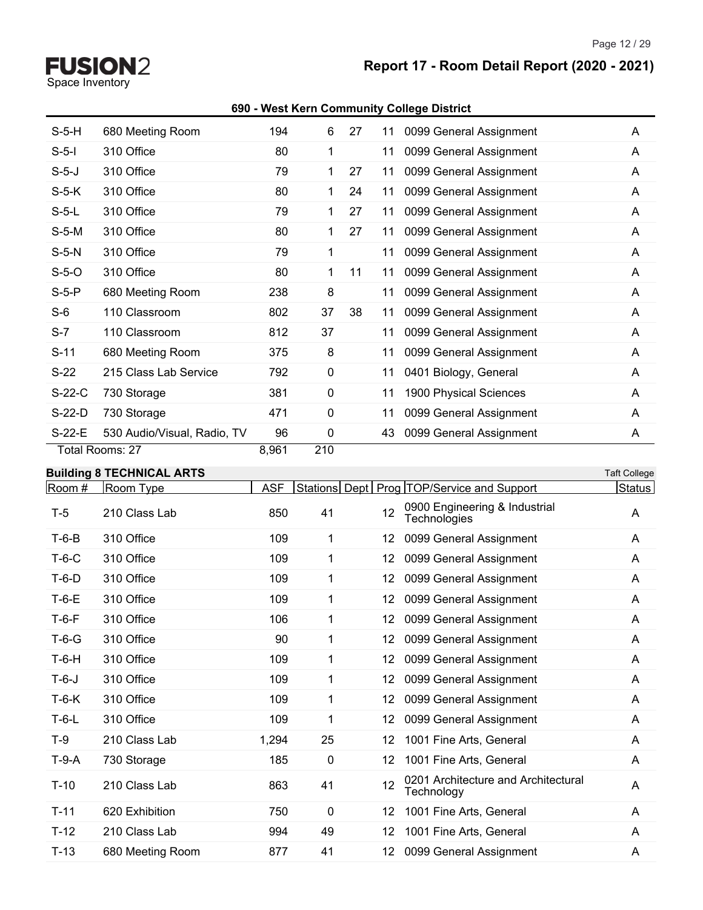Space Inventory

# **Report 17 - Room Detail Report (2020 - 2021)**

#### **690 - West Kern Community College District**

|          | Total Rooms: 27             | 8,961 | 210 |    |    |                         |   |
|----------|-----------------------------|-------|-----|----|----|-------------------------|---|
| S-22-E   | 530 Audio/Visual, Radio, TV | 96    | 0   |    | 43 | 0099 General Assignment | A |
| $S-22-D$ | 730 Storage                 | 471   | 0   |    | 11 | 0099 General Assignment | A |
| $S-22-C$ | 730 Storage                 | 381   | 0   |    | 11 | 1900 Physical Sciences  | A |
| $S-22$   | 215 Class Lab Service       | 792   | 0   |    | 11 | 0401 Biology, General   | A |
| $S-11$   | 680 Meeting Room            | 375   | 8   |    | 11 | 0099 General Assignment | A |
| $S-7$    | 110 Classroom               | 812   | 37  |    | 11 | 0099 General Assignment | A |
| $S-6$    | 110 Classroom               | 802   | 37  | 38 | 11 | 0099 General Assignment | A |
| $S-5-P$  | 680 Meeting Room            | 238   | 8   |    | 11 | 0099 General Assignment | A |
| $S-5-O$  | 310 Office                  | 80    | 1   | 11 | 11 | 0099 General Assignment | A |
| $S-5-N$  | 310 Office                  | 79    | 1   |    | 11 | 0099 General Assignment | A |
| $S-5-M$  | 310 Office                  | 80    | 1   | 27 | 11 | 0099 General Assignment | A |
| $S-5-L$  | 310 Office                  | 79    | 1   | 27 | 11 | 0099 General Assignment | A |
| $S-5-K$  | 310 Office                  | 80    | 1   | 24 | 11 | 0099 General Assignment | A |
| $S-5-J$  | 310 Office                  | 79    | 1   | 27 | 11 | 0099 General Assignment | A |
| $S-5-I$  | 310 Office                  | 80    | 1   |    | 11 | 0099 General Assignment | A |
| $S-5-H$  | 680 Meeting Room            | 194   | 6   | 27 | 11 | 0099 General Assignment | A |

#### **Building 8 TECHNICAL ARTS** Taft College

| Room#   | Room Type        | <b>ASF</b> |             |     | Stations Dept   Prog   TOP/Service and Support    | Status |
|---------|------------------|------------|-------------|-----|---------------------------------------------------|--------|
| $T-5$   | 210 Class Lab    | 850        | 41          | 12  | 0900 Engineering & Industrial<br>Technologies     | A      |
| $T-6-B$ | 310 Office       | 109        | 1           | 12. | 0099 General Assignment                           | A      |
| $T-6-C$ | 310 Office       | 109        | 1           | 12. | 0099 General Assignment                           | A      |
| $T-6-D$ | 310 Office       | 109        | 1           | 12. | 0099 General Assignment                           | A      |
| $T-6-E$ | 310 Office       | 109        | 1           | 12  | 0099 General Assignment                           | A      |
| $T-6-F$ | 310 Office       | 106        | 1           | 12  | 0099 General Assignment                           | A      |
| $T-6-G$ | 310 Office       | 90         | 1           | 12. | 0099 General Assignment                           | A      |
| $T-6-H$ | 310 Office       | 109        | 1           | 12. | 0099 General Assignment                           | A      |
| $T-6-J$ | 310 Office       | 109        | 1           | 12  | 0099 General Assignment                           | A      |
| $T-6-K$ | 310 Office       | 109        | 1           | 12. | 0099 General Assignment                           | A      |
| $T-6-L$ | 310 Office       | 109        | 1           | 12. | 0099 General Assignment                           | A      |
| T-9     | 210 Class Lab    | 1,294      | 25          | 12  | 1001 Fine Arts, General                           | A      |
| $T-9-A$ | 730 Storage      | 185        | $\mathbf 0$ | 12  | 1001 Fine Arts, General                           | A      |
| $T-10$  | 210 Class Lab    | 863        | 41          | 12  | 0201 Architecture and Architectural<br>Technology | A      |
| $T-11$  | 620 Exhibition   | 750        | $\mathbf 0$ | 12  | 1001 Fine Arts, General                           | A      |
| $T-12$  | 210 Class Lab    | 994        | 49          | 12  | 1001 Fine Arts, General                           | A      |
| $T-13$  | 680 Meeting Room | 877        | 41          | 12  | 0099 General Assignment                           | A      |
|         |                  |            |             |     |                                                   |        |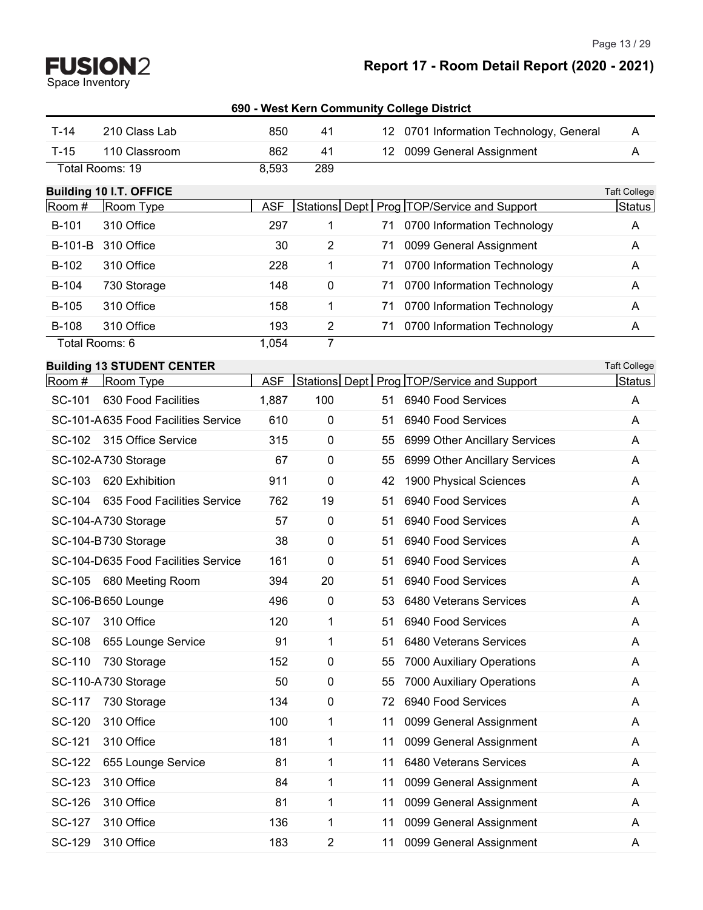Page 13 / 29

|                |                                     |            | 690 - West Kern Community College District |                 |                                              |                     |
|----------------|-------------------------------------|------------|--------------------------------------------|-----------------|----------------------------------------------|---------------------|
| $T-14$         | 210 Class Lab                       | 850        | 41                                         |                 | 12 0701 Information Technology, General      | A                   |
| $T-15$         | 110 Classroom                       | 862        | 41                                         | 12 <sup>°</sup> | 0099 General Assignment                      | A                   |
|                | Total Rooms: 19                     | 8,593      | 289                                        |                 |                                              |                     |
|                | <b>Building 10 I.T. OFFICE</b>      |            |                                            |                 |                                              | <b>Taft College</b> |
| Room #         | Room Type                           | <b>ASF</b> |                                            |                 | Stations Dept   Prog TOP/Service and Support | Status              |
| B-101          | 310 Office                          | 297        | 1                                          | 71              | 0700 Information Technology                  | A                   |
| B-101-B        | 310 Office                          | 30         | $\overline{2}$                             | 71              | 0099 General Assignment                      | A                   |
| B-102          | 310 Office                          | 228        | 1                                          | 71              | 0700 Information Technology                  | A                   |
| B-104          | 730 Storage                         | 148        | $\mathbf 0$                                | 71              | 0700 Information Technology                  | Α                   |
| B-105          | 310 Office                          | 158        | 1                                          | 71              | 0700 Information Technology                  | Α                   |
| B-108          | 310 Office                          | 193        | $\overline{2}$                             | 71              | 0700 Information Technology                  | A                   |
| Total Rooms: 6 |                                     | 1,054      | 7                                          |                 |                                              |                     |
|                | <b>Building 13 STUDENT CENTER</b>   |            |                                            |                 |                                              | <b>Taft College</b> |
| Room #         | Room Type                           | <b>ASF</b> |                                            |                 | Stations Dept   Prog TOP/Service and Support | Status              |
| SC-101         | 630 Food Facilities                 | 1,887      | 100                                        | 51              | 6940 Food Services                           | A                   |
|                | SC-101-A635 Food Facilities Service | 610        | $\mathbf 0$                                | 51              | 6940 Food Services                           | A                   |
| SC-102         | 315 Office Service                  | 315        | 0                                          | 55              | 6999 Other Ancillary Services                | A                   |
|                | SC-102-A730 Storage                 | 67         | 0                                          | 55              | 6999 Other Ancillary Services                | A                   |
| SC-103         | 620 Exhibition                      | 911        | 0                                          | 42              | 1900 Physical Sciences                       | A                   |
| SC-104         | 635 Food Facilities Service         | 762        | 19                                         | 51              | 6940 Food Services                           | A                   |
|                | SC-104-A730 Storage                 | 57         | $\pmb{0}$                                  | 51              | 6940 Food Services                           | A                   |
|                | SC-104-B730 Storage                 | 38         | $\pmb{0}$                                  | 51              | 6940 Food Services                           | A                   |
|                | SC-104-D635 Food Facilities Service | 161        | 0                                          | 51              | 6940 Food Services                           | Α                   |
|                | SC-105 680 Meeting Room             | 394        | 20                                         | 51              | 6940 Food Services                           | Α                   |
|                | SC-106-B650 Lounge                  | 496        | $\mathbf 0$                                | 53              | 6480 Veterans Services                       | A                   |
| SC-107         | 310 Office                          | 120        | 1                                          | 51              | 6940 Food Services                           | Α                   |
| SC-108         | 655 Lounge Service                  | 91         | 1                                          | 51              | 6480 Veterans Services                       | Α                   |
| SC-110         | 730 Storage                         | 152        | 0                                          | 55              | 7000 Auxiliary Operations                    | A                   |
|                | SC-110-A730 Storage                 | 50         | 0                                          | 55              | 7000 Auxiliary Operations                    | A                   |
| SC-117         | 730 Storage                         | 134        | 0                                          | 72              | 6940 Food Services                           | A                   |
| SC-120         | 310 Office                          | 100        | 1                                          | 11              | 0099 General Assignment                      | Α                   |
| SC-121         | 310 Office                          | 181        | 1                                          | 11              | 0099 General Assignment                      | A                   |
| SC-122         | 655 Lounge Service                  | 81         | 1                                          | 11              | 6480 Veterans Services                       | Α                   |
| SC-123         | 310 Office                          | 84         | 1                                          | 11              | 0099 General Assignment                      | Α                   |
| SC-126         | 310 Office                          | 81         | 1                                          | 11              | 0099 General Assignment                      | Α                   |
| SC-127         | 310 Office                          | 136        | 1                                          | 11              | 0099 General Assignment                      | Α                   |
| SC-129         | 310 Office                          | 183        | $\overline{c}$                             | 11              | 0099 General Assignment                      | Α                   |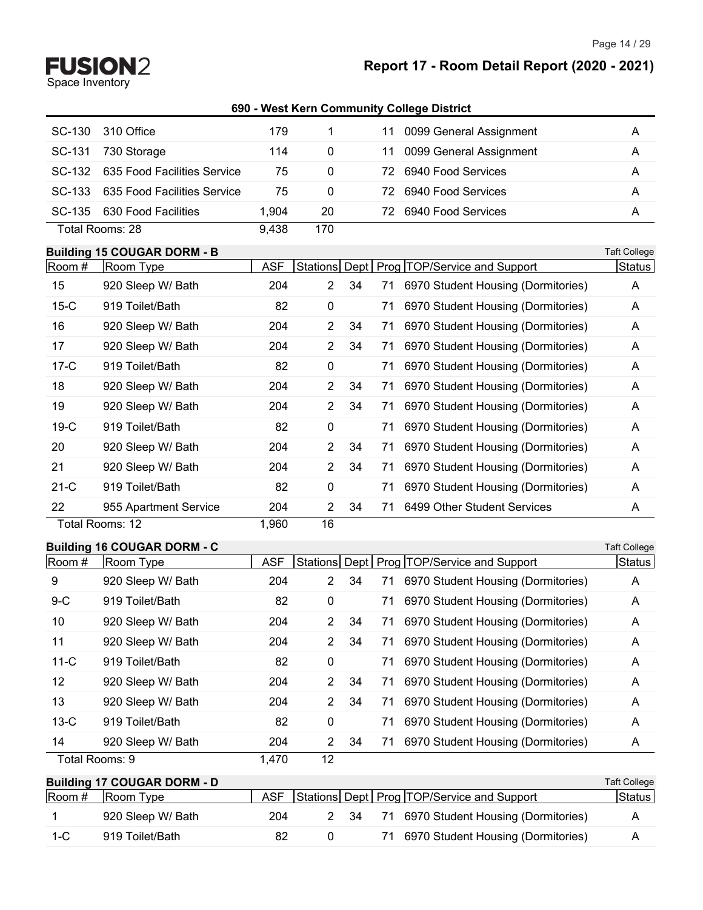### **Report 17 - Room Detail Report (2020 - 2021)**

#### **690 - West Kern Community College District**

| SC-130 | 310 Office                  | 179   |          | 11 0099 General Assignment    | Α |
|--------|-----------------------------|-------|----------|-------------------------------|---|
| SC-131 | 730 Storage                 | 114   | 0        | 0099 General Assignment<br>11 | A |
| SC-132 | 635 Food Facilities Service | 75    | $\Omega$ | 6940 Food Services<br>72.     | A |
| SC-133 | 635 Food Facilities Service | 75    | $\Omega$ | 6940 Food Services<br>72.     | А |
| SC-135 | 630 Food Facilities         | 1.904 | 20       | 6940 Food Services<br>72.     | Α |
|        | Total Rooms: 28             | 9.438 | 170      |                               |   |

#### **Building 15 COUGAR DORM - B** Taft College

| Room#  | Room Type             | <b>ASF</b> |                |    |    | Stations Dept   Prog   TOP/Service and Support | Status |
|--------|-----------------------|------------|----------------|----|----|------------------------------------------------|--------|
| 15     | 920 Sleep W/ Bath     | 204        | $\overline{2}$ | 34 | 71 | 6970 Student Housing (Dormitories)             | A      |
| $15-C$ | 919 Toilet/Bath       | 82         | 0              |    | 71 | 6970 Student Housing (Dormitories)             | A      |
| 16     | 920 Sleep W/ Bath     | 204        | $\overline{2}$ | 34 | 71 | 6970 Student Housing (Dormitories)             | A      |
| 17     | 920 Sleep W/ Bath     | 204        | $\overline{2}$ | 34 | 71 | 6970 Student Housing (Dormitories)             | A      |
| $17-C$ | 919 Toilet/Bath       | 82         | 0              |    | 71 | 6970 Student Housing (Dormitories)             | A      |
| 18     | 920 Sleep W/ Bath     | 204        | $\overline{2}$ | 34 | 71 | 6970 Student Housing (Dormitories)             | A      |
| 19     | 920 Sleep W/ Bath     | 204        | $\overline{2}$ | 34 | 71 | 6970 Student Housing (Dormitories)             | A      |
| $19-C$ | 919 Toilet/Bath       | 82         | $\mathbf 0$    |    | 71 | 6970 Student Housing (Dormitories)             | A      |
| 20     | 920 Sleep W/ Bath     | 204        | $\overline{2}$ | 34 | 71 | 6970 Student Housing (Dormitories)             | A      |
| 21     | 920 Sleep W/ Bath     | 204        | $\overline{2}$ | 34 | 71 | 6970 Student Housing (Dormitories)             | A      |
| $21-C$ | 919 Toilet/Bath       | 82         | $\mathbf 0$    |    | 71 | 6970 Student Housing (Dormitories)             | A      |
| 22     | 955 Apartment Service | 204        | $\overline{2}$ | 34 | 71 | 6499 Other Student Services                    | A      |
|        | Total Rooms: 12       | 1,960      | 16             |    |    |                                                |        |

#### **Building 16 COUGAR DORM - C** Taft College

| -------- <u>-</u><br>Room # | Room Type         | <b>ASF</b> |                      |    |    | Stations Dept   Prog   TOP/Service and Support | Status |
|-----------------------------|-------------------|------------|----------------------|----|----|------------------------------------------------|--------|
| 9                           | 920 Sleep W/ Bath | 204        | $\mathbf{2}^{\circ}$ | 34 | 71 | 6970 Student Housing (Dormitories)             | A      |
| $9-C$                       | 919 Toilet/Bath   | 82         | 0                    |    | 71 | 6970 Student Housing (Dormitories)             | A      |
| 10                          | 920 Sleep W/ Bath | 204        | $2^{\circ}$          | 34 | 71 | 6970 Student Housing (Dormitories)             | A      |
| 11                          | 920 Sleep W/ Bath | 204        | $2^{\circ}$          | 34 |    | 71 6970 Student Housing (Dormitories)          | A      |
| $11-C$                      | 919 Toilet/Bath   | 82         | $\mathbf{0}$         |    | 71 | 6970 Student Housing (Dormitories)             | A      |
| $12 \overline{ }$           | 920 Sleep W/ Bath | 204        | 2                    | 34 |    | 71 6970 Student Housing (Dormitories)          | A      |
| 13                          | 920 Sleep W/ Bath | 204        | 2                    | 34 | 71 | 6970 Student Housing (Dormitories)             | A      |
| $13-C$                      | 919 Toilet/Bath   | 82         | 0                    |    | 71 | 6970 Student Housing (Dormitories)             | A      |
| 14                          | 920 Sleep W/ Bath | 204        | 2                    | 34 |    | 71 6970 Student Housing (Dormitories)          | A      |
|                             | Total Rooms: 9    | 1,470      | 12                   |    |    |                                                |        |

|        | <b>Building 17 COUGAR DORM - D</b> |            |      |                                            | Taft College   |
|--------|------------------------------------|------------|------|--------------------------------------------|----------------|
| Room # | Room Type                          | <b>ASF</b> |      | Stations Dept Prog TOP/Service and Support | <b>Status</b>  |
|        | 920 Sleep W/ Bath                  | 204        | 2 34 | 71 6970 Student Housing (Dormitories)      | A              |
| $1-C$  | 919 Toilet/Bath                    | 82         |      | 71 6970 Student Housing (Dormitories)      | $\overline{A}$ |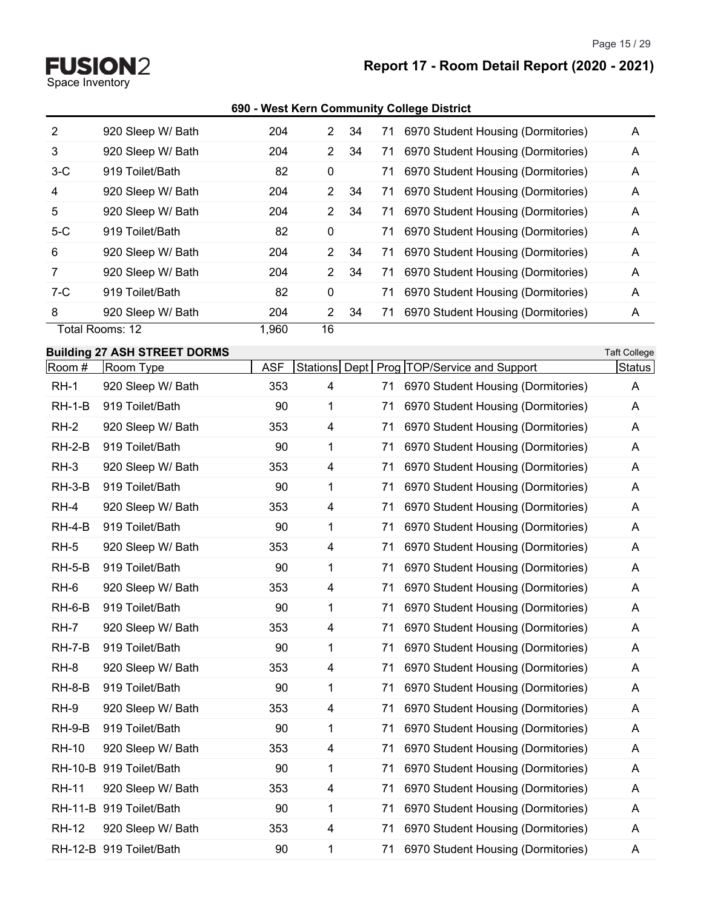Space Inventory

# **Report 17 - Room Detail Report (2020 - 2021)**

#### **690 - West Kern Community College District**

| 2     | 920 Sleep W/ Bath | 204   | 2                    | 34 | 71 6970 Student Housing (Dormitories)    | A |
|-------|-------------------|-------|----------------------|----|------------------------------------------|---|
| 3     | 920 Sleep W/ Bath | 204   | $\mathbf{2}^{\circ}$ | 34 | 71 6970 Student Housing (Dormitories)    | A |
| $3-C$ | 919 Toilet/Bath   | 82    | 0                    |    | 6970 Student Housing (Dormitories)<br>71 | A |
| 4     | 920 Sleep W/ Bath | 204   | $\mathbf{2}$         | 34 | 6970 Student Housing (Dormitories)<br>71 | A |
| 5     | 920 Sleep W/ Bath | 204   | $\overline{2}$       | 34 | 6970 Student Housing (Dormitories)<br>71 | A |
| $5-C$ | 919 Toilet/Bath   | 82    | 0                    |    | 6970 Student Housing (Dormitories)<br>71 | A |
| 6     | 920 Sleep W/ Bath | 204   | $\overline{2}$       | 34 | 71 6970 Student Housing (Dormitories)    | A |
| 7     | 920 Sleep W/ Bath | 204   | $\overline{2}$       | 34 | 6970 Student Housing (Dormitories)<br>71 | A |
| $7-C$ | 919 Toilet/Bath   | 82    | 0                    |    | 6970 Student Housing (Dormitories)<br>71 | A |
| 8     | 920 Sleep W/ Bath | 204   | 2                    | 34 | 6970 Student Housing (Dormitories)<br>71 | A |
|       | Total Rooms: 12   | 1.960 | 16                   |    |                                          |   |

#### **Building 27 ASH STREET DORMS** Taft College

| Room #       | Room Type               | <b>ASF</b> |              |    | Stations Dept   Prog   TOP/Service and Support | Status |
|--------------|-------------------------|------------|--------------|----|------------------------------------------------|--------|
| $RH-1$       | 920 Sleep W/ Bath       | 353        | 4            |    | 71 6970 Student Housing (Dormitories)          | A      |
| $RH-1-B$     | 919 Toilet/Bath         | 90         | 1            | 71 | 6970 Student Housing (Dormitories)             | A      |
| $RH-2$       | 920 Sleep W/ Bath       | 353        | 4            | 71 | 6970 Student Housing (Dormitories)             | A      |
| $RH-2-B$     | 919 Toilet/Bath         | 90         | $\mathbf{1}$ | 71 | 6970 Student Housing (Dormitories)             | A      |
| $RH-3$       | 920 Sleep W/ Bath       | 353        | 4            | 71 | 6970 Student Housing (Dormitories)             | A      |
| $RH-3-B$     | 919 Toilet/Bath         | 90         | $\mathbf{1}$ | 71 | 6970 Student Housing (Dormitories)             | A      |
| RH-4         | 920 Sleep W/ Bath       | 353        | 4            | 71 | 6970 Student Housing (Dormitories)             | A      |
| $RH-4-B$     | 919 Toilet/Bath         | 90         | 1            | 71 | 6970 Student Housing (Dormitories)             | A      |
| $RH-5$       | 920 Sleep W/ Bath       | 353        | 4            | 71 | 6970 Student Housing (Dormitories)             | A      |
| $RH-5-B$     | 919 Toilet/Bath         | 90         | 1            | 71 | 6970 Student Housing (Dormitories)             | A      |
| RH-6         | 920 Sleep W/ Bath       | 353        | 4            | 71 | 6970 Student Housing (Dormitories)             | A      |
| $RH-6-B$     | 919 Toilet/Bath         | 90         | $\mathbf{1}$ | 71 | 6970 Student Housing (Dormitories)             | A      |
| RH-7         | 920 Sleep W/ Bath       | 353        | 4            | 71 | 6970 Student Housing (Dormitories)             | A      |
| $RH$ -7- $B$ | 919 Toilet/Bath         | 90         | 1            | 71 | 6970 Student Housing (Dormitories)             | A      |
| $RH-8$       | 920 Sleep W/ Bath       | 353        | 4            | 71 | 6970 Student Housing (Dormitories)             | A      |
| $RH-8-B$     | 919 Toilet/Bath         | 90         | 1            | 71 | 6970 Student Housing (Dormitories)             | A      |
| RH-9         | 920 Sleep W/ Bath       | 353        | 4            | 71 | 6970 Student Housing (Dormitories)             | A      |
| $RH-9-B$     | 919 Toilet/Bath         | 90         | 1            | 71 | 6970 Student Housing (Dormitories)             | A      |
| <b>RH-10</b> | 920 Sleep W/ Bath       | 353        | 4            | 71 | 6970 Student Housing (Dormitories)             | A      |
|              | RH-10-B 919 Toilet/Bath | 90         | 1            | 71 | 6970 Student Housing (Dormitories)             | A      |
| <b>RH-11</b> | 920 Sleep W/ Bath       | 353        | 4            | 71 | 6970 Student Housing (Dormitories)             | A      |
|              | RH-11-B 919 Toilet/Bath | 90         | 1            | 71 | 6970 Student Housing (Dormitories)             | A      |
| <b>RH-12</b> | 920 Sleep W/ Bath       | 353        | 4            | 71 | 6970 Student Housing (Dormitories)             | A      |
|              | RH-12-B 919 Toilet/Bath | 90         | $\mathbf{1}$ | 71 | 6970 Student Housing (Dormitories)             | Α      |
|              |                         |            |              |    |                                                |        |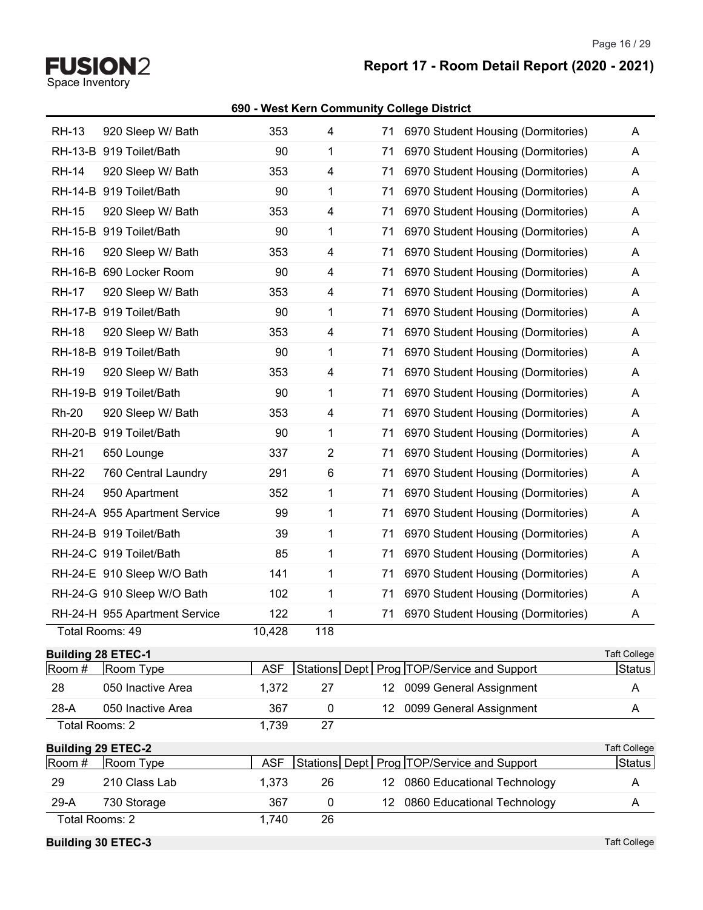Page 16 / 29

# **Report 17 - Room Detail Report (2020 - 2021)**

#### **690 - West Kern Community College District**

**FUSION2**<br>Space Inventory

| <b>Building 30 ETEC-3</b>           |                                                  |               |                         |                   |                                                | <b>Taft College</b>           |
|-------------------------------------|--------------------------------------------------|---------------|-------------------------|-------------------|------------------------------------------------|-------------------------------|
| Total Rooms: 2                      |                                                  | 1,740         | 26                      |                   |                                                |                               |
| $29-A$                              | 730 Storage                                      | 367           | 0                       |                   | 12 0860 Educational Technology                 | A                             |
| 29                                  | 210 Class Lab                                    | 1,373         | 26                      |                   | 12 0860 Educational Technology                 | A                             |
| Room #                              | Room Type                                        | <b>ASF</b>    |                         |                   | Stations Dept   Prog   TOP/Service and Support | <b>Status</b>                 |
| <b>Building 29 ETEC-2</b>           |                                                  |               |                         |                   |                                                | <b>Taft College</b>           |
| Total Rooms: 2                      |                                                  | 1,739         | $\overline{27}$         |                   |                                                |                               |
| $28-A$                              | 050 Inactive Area                                | 367           | $\mathbf 0$             | $12 \overline{ }$ | 0099 General Assignment                        | Α                             |
| 28                                  | 050 Inactive Area                                | 1,372         | 27                      |                   | 12 0099 General Assignment                     | Α                             |
| <b>Building 28 ETEC-1</b><br>Room # | Room Type                                        | <b>ASF</b>    |                         |                   | Stations Dept   Prog TOP/Service and Support   | <b>Taft College</b><br>Status |
|                                     |                                                  |               |                         |                   |                                                |                               |
|                                     | RH-24-H 955 Apartment Service<br>Total Rooms: 49 | 122<br>10,428 | 1<br>118                | 71                | 6970 Student Housing (Dormitories)             | Α                             |
|                                     | RH-24-G 910 Sleep W/O Bath                       | 102           | 1                       | 71                | 6970 Student Housing (Dormitories)             | A                             |
|                                     | RH-24-E 910 Sleep W/O Bath                       | 141           | $\mathbf{1}$            | 71                | 6970 Student Housing (Dormitories)             | A                             |
|                                     | RH-24-C 919 Toilet/Bath                          | 85            | $\mathbf{1}$            | 71                | 6970 Student Housing (Dormitories)             | A                             |
|                                     | RH-24-B 919 Toilet/Bath                          | 39            | 1                       | 71                | 6970 Student Housing (Dormitories)             | Α                             |
|                                     | RH-24-A 955 Apartment Service                    | 99            | $\mathbf{1}$            | 71                | 6970 Student Housing (Dormitories)             | A                             |
| <b>RH-24</b>                        | 950 Apartment                                    | 352           | $\mathbf{1}$            | 71                | 6970 Student Housing (Dormitories)             | Α                             |
| <b>RH-22</b>                        | 760 Central Laundry                              | 291           | $\,6$                   | 71                | 6970 Student Housing (Dormitories)             | A                             |
| <b>RH-21</b>                        | 650 Lounge                                       | 337           | $\overline{2}$          | 71                | 6970 Student Housing (Dormitories)             | A                             |
|                                     | RH-20-B 919 Toilet/Bath                          | 90            | 1                       | 71                | 6970 Student Housing (Dormitories)             | A                             |
| <b>Rh-20</b>                        | 920 Sleep W/ Bath                                | 353           | 4                       | 71                | 6970 Student Housing (Dormitories)             | Α                             |
|                                     | RH-19-B 919 Toilet/Bath                          | 90            | 1                       | 71                | 6970 Student Housing (Dormitories)             | A                             |
| <b>RH-19</b>                        | 920 Sleep W/ Bath                                | 353           | 4                       | 71                | 6970 Student Housing (Dormitories)             | Α                             |
|                                     | RH-18-B 919 Toilet/Bath                          | 90            | 1                       | 71                | 6970 Student Housing (Dormitories)             | A                             |
| <b>RH-18</b>                        | 920 Sleep W/ Bath                                | 353           | 4                       | 71                | 6970 Student Housing (Dormitories)             | Α                             |
|                                     | RH-17-B 919 Toilet/Bath                          | 90            | 1                       | 71                | 6970 Student Housing (Dormitories)             | A                             |
| <b>RH-17</b>                        | 920 Sleep W/ Bath                                | 353           | $\overline{\mathbf{4}}$ | 71                | 6970 Student Housing (Dormitories)             | Α                             |
|                                     | RH-16-B 690 Locker Room                          | 90            | 4                       | 71                | 6970 Student Housing (Dormitories)             | A                             |
| <b>RH-16</b>                        | 920 Sleep W/ Bath                                | 353           | 4                       | 71                | 6970 Student Housing (Dormitories)             | Α                             |
|                                     | RH-15-B 919 Toilet/Bath                          | 90            | 1                       | 71                | 6970 Student Housing (Dormitories)             | A                             |
| <b>RH-15</b>                        | 920 Sleep W/ Bath                                | 353           | 4                       | 71                | 6970 Student Housing (Dormitories)             | A                             |
|                                     | RH-14-B 919 Toilet/Bath                          | 90            | 1                       | 71                | 6970 Student Housing (Dormitories)             | A                             |
| <b>RH-14</b>                        | 920 Sleep W/ Bath                                | 353           | 4                       | 71                | 6970 Student Housing (Dormitories)             | A                             |
|                                     | RH-13-B 919 Toilet/Bath                          | 90            | 1                       | 71                | 6970 Student Housing (Dormitories)             | A                             |
| <b>RH-13</b>                        | 920 Sleep W/ Bath                                | 353           | 4                       | 71                | 6970 Student Housing (Dormitories)             | A                             |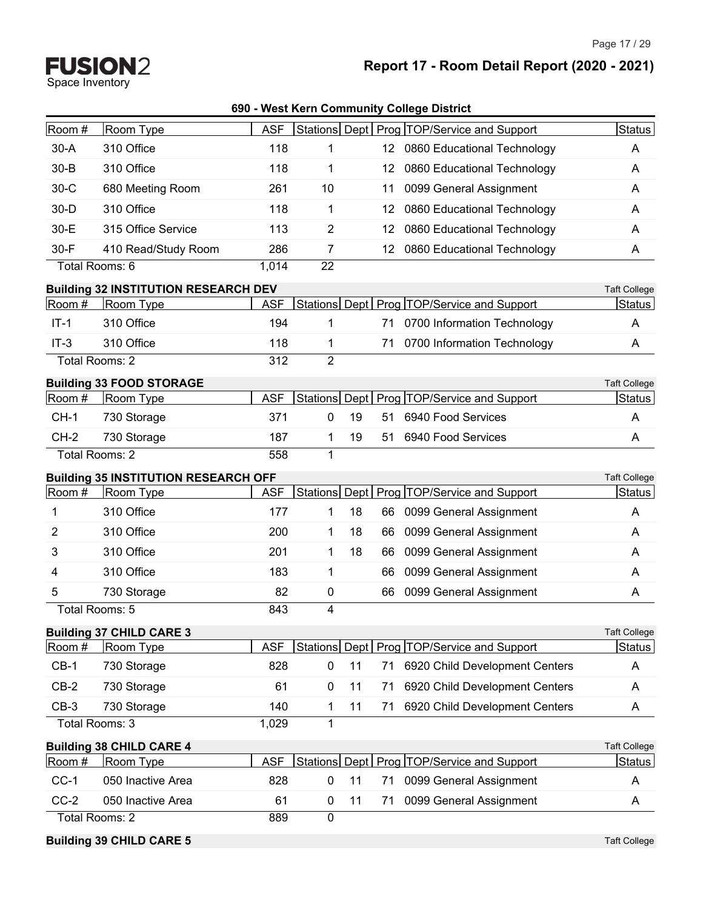Page 17 / 29

**Report 17 - Room Detail Report (2020 - 2021)**

**FUSION2**<br>Space Inventory

| 690 - West Kern Community College District |  |
|--------------------------------------------|--|
|--------------------------------------------|--|

| Room #   | Room Type                                   | <b>ASF</b> |                |    |                   | Stations Dept   Prog   TOP/Service and Support | Status              |
|----------|---------------------------------------------|------------|----------------|----|-------------------|------------------------------------------------|---------------------|
| $30-A$   | 310 Office                                  | 118        | 1              |    |                   | 12 0860 Educational Technology                 | A                   |
| $30 - B$ | 310 Office                                  | 118        | 1              |    | 12                | 0860 Educational Technology                    | A                   |
| $30-C$   | 680 Meeting Room                            | 261        | 10             |    | 11                | 0099 General Assignment                        | A                   |
| $30-D$   | 310 Office                                  | 118        | 1              |    | 12                | 0860 Educational Technology                    | A                   |
| 30-E     | 315 Office Service                          | 113        | $\overline{2}$ |    | $12 \overline{ }$ | 0860 Educational Technology                    | A                   |
| 30-F     | 410 Read/Study Room                         | 286        | 7              |    |                   | 12 0860 Educational Technology                 | A                   |
|          | Total Rooms: 6                              | 1,014      | 22             |    |                   |                                                |                     |
|          | <b>Building 32 INSTITUTION RESEARCH DEV</b> |            |                |    |                   |                                                | <b>Taft College</b> |
| Room #   | Room Type                                   | <b>ASF</b> |                |    |                   | Stations Dept   Prog   TOP/Service and Support | <b>Status</b>       |
| $IT-1$   | 310 Office                                  | 194        | 1              |    | 71                | 0700 Information Technology                    | A                   |
| $IT-3$   | 310 Office                                  | 118        | 1              |    | 71                | 0700 Information Technology                    | A                   |
|          | Total Rooms: 2                              | 312        | $\overline{2}$ |    |                   |                                                |                     |
|          | <b>Building 33 FOOD STORAGE</b>             |            |                |    |                   |                                                | <b>Taft College</b> |
| Room #   | Room Type                                   | <b>ASF</b> |                |    |                   | Stations Dept   Prog   TOP/Service and Support | Status              |
| $CH-1$   | 730 Storage                                 | 371        | 0              | 19 | 51                | 6940 Food Services                             | A                   |
| $CH-2$   | 730 Storage                                 | 187        | 1              | 19 | 51                | 6940 Food Services                             | Α                   |
|          | Total Rooms: 2                              | 558        | 1              |    |                   |                                                |                     |
|          | <b>Building 35 INSTITUTION RESEARCH OFF</b> |            |                |    |                   |                                                | <b>Taft College</b> |
| Room #   | Room Type                                   | <b>ASF</b> | Stations Dept  |    |                   | Prog TOP/Service and Support                   | Status              |
| 1        | 310 Office                                  | 177        | 1              | 18 | 66                | 0099 General Assignment                        | A                   |
| 2        | 310 Office                                  | 200        | 1              | 18 | 66                | 0099 General Assignment                        | A                   |
| 3        | 310 Office                                  | 201        | 1              | 18 | 66                | 0099 General Assignment                        | A                   |
| 4        | 310 Office                                  | 183        | 1              |    | 66                | 0099 General Assignment                        | A                   |
| 5        | 730 Storage                                 | 82         | 0              |    | 66                | 0099 General Assignment                        | A                   |
|          | Total Rooms: 5                              | 843        | 4              |    |                   |                                                |                     |
|          | <b>Building 37 CHILD CARE 3</b>             |            |                |    |                   |                                                | <b>Taft College</b> |
| Room #   | Room Type                                   | <b>ASF</b> |                |    |                   | Stations Dept   Prog   TOP/Service and Support | <b>Status</b>       |
| $CB-1$   | 730 Storage                                 | 828        | 0              | 11 | 71                | 6920 Child Development Centers                 | A                   |
| $CB-2$   | 730 Storage                                 | 61         | 0              | 11 | 71                | 6920 Child Development Centers                 | A                   |
| $CB-3$   | 730 Storage                                 | 140        | 1              | 11 | 71                | 6920 Child Development Centers                 | A                   |
|          | Total Rooms: 3                              | 1,029      | $\mathbf{1}$   |    |                   |                                                |                     |
|          | <b>Building 38 CHILD CARE 4</b>             |            |                |    |                   |                                                | <b>Taft College</b> |
| Room #   | Room Type                                   | <b>ASF</b> |                |    |                   | Stations Dept Prog TOP/Service and Support     | <b>Status</b>       |
| $CC-1$   | 050 Inactive Area                           | 828        | 0              | 11 | 71                | 0099 General Assignment                        | A                   |
| $CC-2$   | 050 Inactive Area                           | 61         | 0              | 11 | 71                | 0099 General Assignment                        | A                   |
|          | Total Rooms: 2                              | 889        | $\overline{0}$ |    |                   |                                                |                     |
|          | <b>Building 39 CHILD CARE 5</b>             |            |                |    |                   |                                                | <b>Taft College</b> |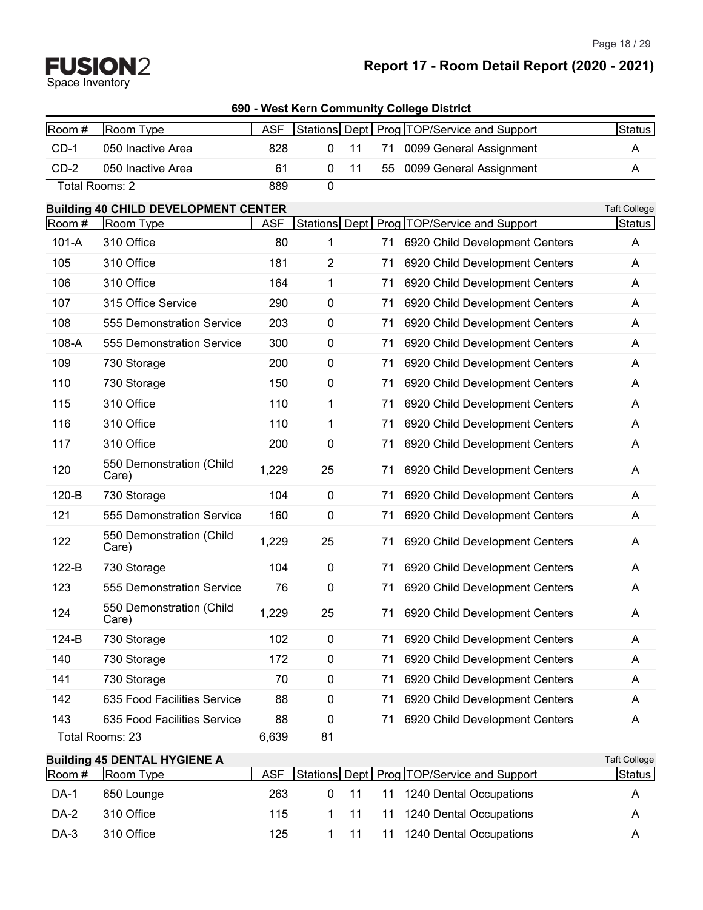Page 18 / 29

| Room #  | Room Type                                   | <b>ASF</b> |                |    |    | Stations Dept   Prog   TOP/Service and Support | Status              |
|---------|---------------------------------------------|------------|----------------|----|----|------------------------------------------------|---------------------|
| $CD-1$  | 050 Inactive Area                           | 828        | 0              | 11 | 71 | 0099 General Assignment                        | A                   |
| $CD-2$  | 050 Inactive Area                           | 61         | 0              | 11 | 55 | 0099 General Assignment                        | A                   |
|         | Total Rooms: 2                              | 889        | $\mathbf 0$    |    |    |                                                |                     |
|         | <b>Building 40 CHILD DEVELOPMENT CENTER</b> |            |                |    |    |                                                | <b>Taft College</b> |
| Room #  | Room Type                                   | <b>ASF</b> |                |    |    | Stations Dept   Prog TOP/Service and Support   | Status              |
| $101-A$ | 310 Office                                  | 80         | 1              |    | 71 | 6920 Child Development Centers                 | A                   |
| 105     | 310 Office                                  | 181        | $\overline{2}$ |    | 71 | 6920 Child Development Centers                 | A                   |
| 106     | 310 Office                                  | 164        | 1              |    | 71 | 6920 Child Development Centers                 | A                   |
| 107     | 315 Office Service                          | 290        | 0              |    | 71 | 6920 Child Development Centers                 | A                   |
| 108     | 555 Demonstration Service                   | 203        | 0              |    | 71 | 6920 Child Development Centers                 | A                   |
| $108-A$ | 555 Demonstration Service                   | 300        | 0              |    | 71 | 6920 Child Development Centers                 | A                   |
| 109     | 730 Storage                                 | 200        | 0              |    | 71 | 6920 Child Development Centers                 | A                   |
| 110     | 730 Storage                                 | 150        | 0              |    | 71 | 6920 Child Development Centers                 | A                   |
| 115     | 310 Office                                  | 110        | 1              |    | 71 | 6920 Child Development Centers                 | A                   |
| 116     | 310 Office                                  | 110        | 1              |    | 71 | 6920 Child Development Centers                 | A                   |
| 117     | 310 Office                                  | 200        | 0              |    | 71 | 6920 Child Development Centers                 | A                   |
| 120     | 550 Demonstration (Child<br>Care)           | 1,229      | 25             |    | 71 | 6920 Child Development Centers                 | A                   |
| 120-B   | 730 Storage                                 | 104        | 0              |    | 71 | 6920 Child Development Centers                 | A                   |
| 121     | 555 Demonstration Service                   | 160        | 0              |    | 71 | 6920 Child Development Centers                 | A                   |
| 122     | 550 Demonstration (Child<br>Care)           | 1,229      | 25             |    | 71 | 6920 Child Development Centers                 | A                   |
| 122-B   | 730 Storage                                 | 104        | 0              |    | 71 | 6920 Child Development Centers                 | A                   |
| 123     | 555 Demonstration Service                   | 76         | 0              |    | 71 | 6920 Child Development Centers                 | A                   |
| 124     | 550 Demonstration (Child<br>Care)           | 1,229      | 25             |    | 71 | 6920 Child Development Centers                 | A                   |
| 124-B   | 730 Storage                                 | 102        | 0              |    | 71 | 6920 Child Development Centers                 | A                   |
| 140     | 730 Storage                                 | 172        | 0              |    | 71 | 6920 Child Development Centers                 | A                   |
| 141     | 730 Storage                                 | 70         | 0              |    | 71 | 6920 Child Development Centers                 | A                   |
| 142     | 635 Food Facilities Service                 | 88         | 0              |    | 71 | 6920 Child Development Centers                 | A                   |
| 143     | 635 Food Facilities Service                 | 88         | 0              |    | 71 | 6920 Child Development Centers                 | A                   |
|         | Total Rooms: 23                             | 6,639      | 81             |    |    |                                                |                     |
|         | <b>Building 45 DENTAL HYGIENE A</b>         |            |                |    |    |                                                | <b>Taft College</b> |
| Room #  | Room Type                                   | <b>ASF</b> |                |    |    | Stations Dept   Prog   TOP/Service and Support | <b>Status</b>       |
| DA-1    | 650 Lounge                                  | 263        | 0              | 11 | 11 | 1240 Dental Occupations                        | A                   |
| DA-2    | 310 Office                                  | 115        | 1              | 11 | 11 | 1240 Dental Occupations                        | A                   |
| DA-3    | 310 Office                                  | 125        | $\mathbf{1}$   | 11 | 11 | 1240 Dental Occupations                        | A                   |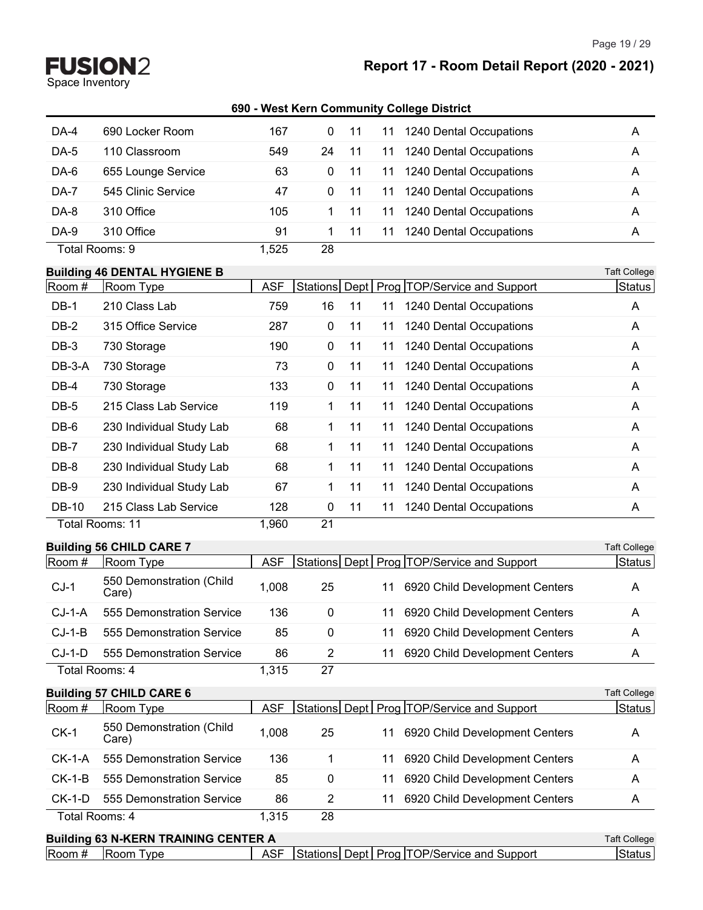Space Inventory

Page 19 / 29

**690 - West Kern Community College District**

| DA-4   | 690 Locker Room    | 167   | $\Omega$ |     | 1240 Dental Occupations<br>11 | A |
|--------|--------------------|-------|----------|-----|-------------------------------|---|
| DA-5   | 110 Classroom      | 549   | 24       |     | 1240 Dental Occupations<br>11 | A |
| DA-6   | 655 Lounge Service | 63    | 0        | -11 | 1240 Dental Occupations<br>11 | A |
| DA-7   | 545 Clinic Service | 47    | 0        | 11  | 1240 Dental Occupations<br>11 | A |
| DA-8   | 310 Office         | 105   |          |     | 1240 Dental Occupations<br>11 | A |
| $DA-9$ | 310 Office         | 91    |          |     | 1240 Dental Occupations<br>11 | A |
|        | Total Rooms: 9     | 1,525 | 28       |     |                               |   |

#### **Building 46 DENTAL HYGIENE B** Taft College

| Room #       | Room Type                | <b>ASF</b> |              |    |    | Stations Dept   Prog   TOP/Service and Support | Status |
|--------------|--------------------------|------------|--------------|----|----|------------------------------------------------|--------|
| DB-1         | 210 Class Lab            | 759        | 16           | 11 | 11 | 1240 Dental Occupations                        | A      |
| DB-2         | 315 Office Service       | 287        | $\mathbf{0}$ | 11 | 11 | 1240 Dental Occupations                        | A      |
| DB-3         | 730 Storage              | 190        | 0            | 11 | 11 | 1240 Dental Occupations                        | A      |
| DB-3-A       | 730 Storage              | 73         | 0            | 11 | 11 | 1240 Dental Occupations                        | A      |
| DB-4         | 730 Storage              | 133        | 0            | 11 | 11 | 1240 Dental Occupations                        | A      |
| DB-5         | 215 Class Lab Service    | 119        | 1.           | 11 | 11 | 1240 Dental Occupations                        | A      |
| DB-6         | 230 Individual Study Lab | 68         | 1            | 11 | 11 | 1240 Dental Occupations                        | A      |
| DB-7         | 230 Individual Study Lab | 68         | 1.           | 11 | 11 | 1240 Dental Occupations                        | A      |
| DB-8         | 230 Individual Study Lab | 68         | 1.           | 11 | 11 | 1240 Dental Occupations                        | A      |
| DB-9         | 230 Individual Study Lab | 67         | 1.           | 11 | 11 | 1240 Dental Occupations                        | A      |
| <b>DB-10</b> | 215 Class Lab Service    | 128        | $\mathbf{0}$ | 11 | 11 | 1240 Dental Occupations                        | A      |
|              | Total Rooms: 11          | 1,960      | 21           |    |    |                                                |        |

|          | <b>Building 56 CHILD CARE 7</b>   |            |    |    |                                                | <b>Taft College</b> |
|----------|-----------------------------------|------------|----|----|------------------------------------------------|---------------------|
| Room #   | Room Type                         | <b>ASF</b> |    |    | Stations Dept   Prog   TOP/Service and Support | Status              |
| $CJ-1$   | 550 Demonstration (Child<br>Care) | 1,008      | 25 | 11 | 6920 Child Development Centers                 | A                   |
| $CJ-1-A$ | 555 Demonstration Service         | 136        | 0  | 11 | 6920 Child Development Centers                 | A                   |
| $CJ-1-B$ | 555 Demonstration Service         | 85         | 0  | 11 | 6920 Child Development Centers                 | A                   |
| $CJ-1-D$ | 555 Demonstration Service         | 86         | 2  | 11 | 6920 Child Development Centers                 | A                   |
|          | Total Rooms: 4                    | 1,315      | 27 |    |                                                |                     |
|          | <b>Building 57 CHILD CARE 6</b>   |            |    |    |                                                | <b>Taft College</b> |
| Room #   | Room Type                         | <b>ASF</b> |    |    | Stations Dept   Prog   TOP/Service and Support | Status              |
| $CK-1$   | 550 Demonstration (Child<br>Care) | 1,008      | 25 | 11 | 6920 Child Development Centers                 | A                   |
| $CK-1-A$ | 555 Demonstration Service         | 136        | 1  | 11 | 6920 Child Development Centers                 | A                   |
| $CK-1-B$ | 555 Demonstration Service         | 85         | 0  | 11 | 6920 Child Development Centers                 | A                   |
| $CK-1-D$ | 555 Demonstration Service         | 86         | 2  | 11 | 6920 Child Development Centers                 | A                   |
|          | Total Rooms: 4                    | 1,315      | 28 |    |                                                |                     |

**Building 63 N-KERN TRAINING CENTER A** Taft College Room # Room Type ASF Stations Dept Prog TOP/Service and Support Status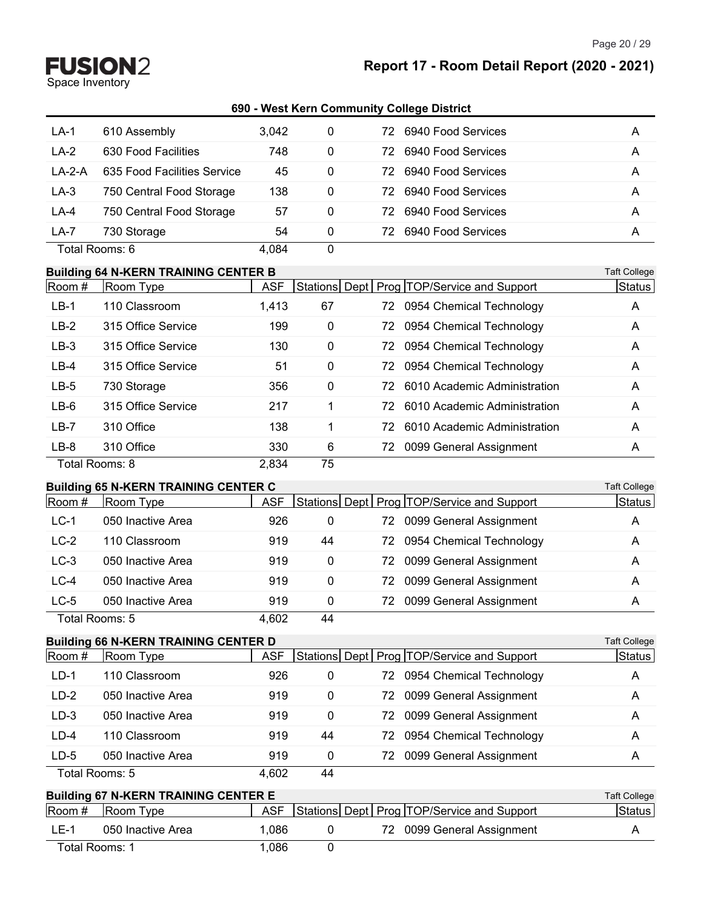#### **Report 17 - Room Detail Report (2020 - 2021)**

#### **690 - West Kern Community College District**

| $LA-1$   | 610 Assembly                | 3,042 | 0 | 6940 Food Services<br>72. | A |
|----------|-----------------------------|-------|---|---------------------------|---|
| $LA-2$   | 630 Food Facilities         | 748   | 0 | 6940 Food Services<br>72. | A |
| $LA-2-A$ | 635 Food Facilities Service | 45    | 0 | 6940 Food Services<br>72. | A |
| $LA-3$   | 750 Central Food Storage    | 138   | 0 | 6940 Food Services<br>72. | A |
| $LA-4$   | 750 Central Food Storage    | 57    | 0 | 6940 Food Services<br>72. | A |
| LA-7     | 730 Storage                 | 54    | 0 | 6940 Food Services<br>72. | A |
|          | Total Rooms: 6              | 4.084 | 0 |                           |   |

#### **Building 64 N-KERN TRAINING CENTER B** Taft College

| Room # | Room Type          | <b>ASF</b> |             |     | Stations Dept   Prog   TOP/Service and Support | Status |
|--------|--------------------|------------|-------------|-----|------------------------------------------------|--------|
| $LB-1$ | 110 Classroom      | 1,413      | 67          |     | 72 0954 Chemical Technology                    | A      |
| $LB-2$ | 315 Office Service | 199        | 0           |     | 72 0954 Chemical Technology                    | A      |
| $LB-3$ | 315 Office Service | 130        | 0           |     | 72 0954 Chemical Technology                    | A      |
| $LB-4$ | 315 Office Service | 51         | 0           |     | 72 0954 Chemical Technology                    | A      |
| $LB-5$ | 730 Storage        | 356        | $\mathbf 0$ |     | 72 6010 Academic Administration                | A      |
| $LB-6$ | 315 Office Service | 217        |             | 72  | 6010 Academic Administration                   | A      |
| $LB-7$ | 310 Office         | 138        |             | 72. | 6010 Academic Administration                   | A      |
| $LB-8$ | 310 Office         | 330        | 6           |     | 72 0099 General Assignment                     | A      |
|        | Total Rooms: 8     | 2,834      | 75          |     |                                                |        |

#### **Building 65 N-KERN TRAINING CENTER C** Taft College

| Room #         | Room Type         | ASF   |    |     | Stations Dept   Prog TOP/Service and Support | Status |
|----------------|-------------------|-------|----|-----|----------------------------------------------|--------|
| $LC-1$         | 050 Inactive Area | 926   | 0  | 72. | 0099 General Assignment                      | A      |
| $LC-2$         | 110 Classroom     | 919   | 44 | 72. | 0954 Chemical Technology                     | A      |
| $LC-3$         | 050 Inactive Area | 919   | 0  |     | 72 0099 General Assignment                   | A      |
| $LC-4$         | 050 Inactive Area | 919   | 0  |     | 72 0099 General Assignment                   | A      |
| $LC-5$         | 050 Inactive Area | 919   | 0  | 72  | 0099 General Assignment                      | A      |
| Total Rooms: 5 |                   | 4.602 | 44 |     |                                              |        |

#### **Building 66 N-KERN TRAINING CENTER D** Taft College

|                                             | Panama VV II I NEI 111 I I 11 1111 IV VENTER P |       |          |  |  |                                                |              |
|---------------------------------------------|------------------------------------------------|-------|----------|--|--|------------------------------------------------|--------------|
| Room #                                      | Room Type                                      | ASF   |          |  |  | Stations Dept   Prog   TOP/Service and Support | Status       |
| $LD-1$                                      | 110 Classroom                                  | 926   | 0        |  |  | 72 0954 Chemical Technology                    | A            |
| $LD-2$                                      | 050 Inactive Area                              | 919   | 0        |  |  | 72 0099 General Assignment                     | A            |
| $LD-3$                                      | 050 Inactive Area                              | 919   | 0        |  |  | 72 0099 General Assignment                     | Α            |
| $LD-4$                                      | 110 Classroom                                  | 919   | 44       |  |  | 72 0954 Chemical Technology                    | A            |
| $LD-5$                                      | 050 Inactive Area                              | 919   | $\Omega$ |  |  | 72 0099 General Assignment                     | Α            |
|                                             | Total Rooms: 5                                 | 4,602 | 44       |  |  |                                                |              |
| <b>Ruilding 67 N-KERN TRAINING CENTER E</b> |                                                |       |          |  |  |                                                | Taft College |

| <b>Dunding Of IN-REINN TRAINING OCNTER E</b> |                                        |      |  |  |  |                                                |  |        |
|----------------------------------------------|----------------------------------------|------|--|--|--|------------------------------------------------|--|--------|
|                                              | $\sqrt{3}$ Room # $\sqrt{3}$ Room Type | ASF  |  |  |  | Stations Dept   Prog   TOP/Service and Support |  | Status |
| LE-1                                         | 050 Inactive Area                      | .086 |  |  |  | 72 0099 General Assignment                     |  |        |
|                                              | Total Rooms: 1                         | .086 |  |  |  |                                                |  |        |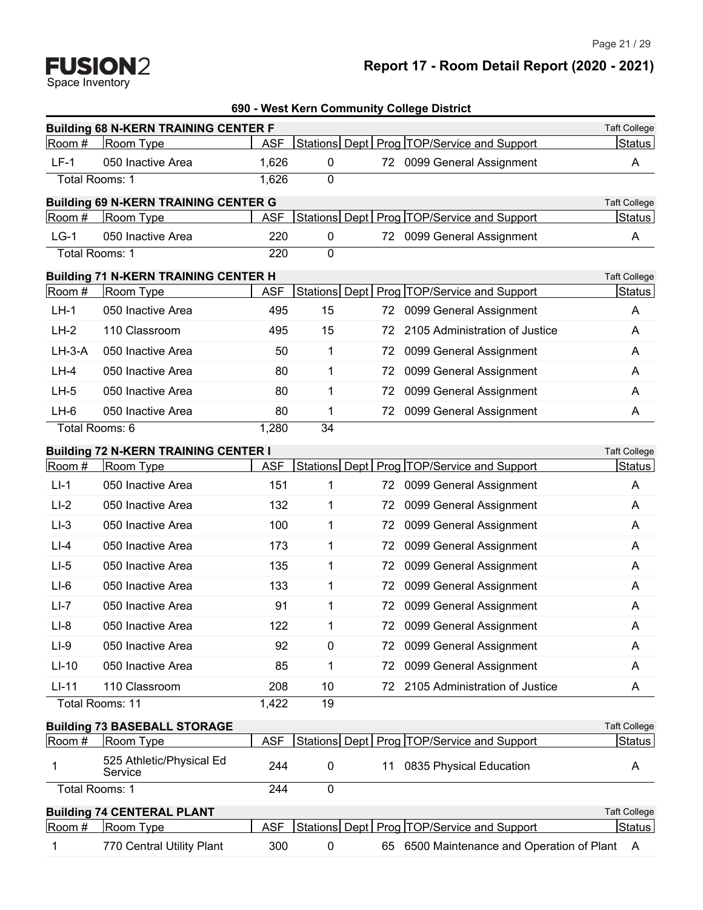Space Inventory

# **Report 17 - Room Detail Report (2020 - 2021)**

| 690 - West Kern Community College District |  |
|--------------------------------------------|--|
| <b>CENTER F</b>                            |  |

|          | <b>Building 68 N-KERN TRAINING CENTER F</b> |            |    |    |                                                | <b>Taft College</b> |
|----------|---------------------------------------------|------------|----|----|------------------------------------------------|---------------------|
| Room #   | Room Type                                   | <b>ASF</b> |    |    | Stations Dept   Prog   TOP/Service and Support | Status              |
| $LF-1$   | 050 Inactive Area                           | 1,626      | 0  |    | 72 0099 General Assignment                     | A                   |
|          | Total Rooms: 1                              | 1,626      | 0  |    |                                                |                     |
|          | <b>Building 69 N-KERN TRAINING CENTER G</b> |            |    |    |                                                | <b>Taft College</b> |
| Room #   | Room Type                                   | <b>ASF</b> |    |    | Stations Dept   Prog   TOP/Service and Support | Status              |
| $LG-1$   | 050 Inactive Area                           | 220        | 0  |    | 72 0099 General Assignment                     | A                   |
|          | Total Rooms: 1                              | 220        | 0  |    |                                                |                     |
|          | <b>Building 71 N-KERN TRAINING CENTER H</b> |            |    |    |                                                | <b>Taft College</b> |
| Room #   | Room Type                                   | <b>ASF</b> |    |    | Stations Dept   Prog   TOP/Service and Support | Status              |
| $LH-1$   | 050 Inactive Area                           | 495        | 15 |    | 72 0099 General Assignment                     | A                   |
| $LH-2$   | 110 Classroom                               | 495        | 15 | 72 | 2105 Administration of Justice                 | A                   |
| $LH-3-A$ | 050 Inactive Area                           | 50         | 1  | 72 | 0099 General Assignment                        | A                   |
| $LH-4$   | 050 Inactive Area                           | 80         | 1  | 72 | 0099 General Assignment                        | Α                   |
| $LH-5$   | 050 Inactive Area                           | 80         | 1  | 72 | 0099 General Assignment                        | A                   |
| LH-6     | 050 Inactive Area                           | 80         | 1  | 72 | 0099 General Assignment                        | A                   |
|          | Total Rooms: 6                              | 1,280      | 34 |    |                                                |                     |
|          | <b>Building 72 N-KERN TRAINING CENTER I</b> |            |    |    |                                                | <b>Taft College</b> |
| Room #   | Room Type                                   | <b>ASF</b> |    |    | Stations Dept   Prog   TOP/Service and Support | Status              |
| $L - 1$  | 050 Inactive Area                           | 151        | 1  |    | 72 0099 General Assignment                     | A                   |
| $LI-2$   | 050 Inactive Area                           | 132        | 1  | 72 | 0099 General Assignment                        | A                   |
| $LI-3$   | 050 Inactive Area                           | 100        | 1  | 72 | 0099 General Assignment                        | A                   |
| $LI-4$   | 050 Inactive Area                           | 173        | 1  | 72 | 0099 General Assignment                        | A                   |
| $LI-5$   | 050 Inactive Area                           | 135        | 1  | 72 | 0099 General Assignment                        | A                   |
| $LI-6$   | 050 Inactive Area                           | 133        | 1  | 72 | 0099 General Assignment                        | A                   |
| $LI-7$   | 050 Inactive Area                           | 91         | 1  | 72 | 0099 General Assignment                        | A                   |
| $LI-8$   | 050 Inactive Area                           | 122        | 1  | 72 | 0099 General Assignment                        | A                   |
| $LI-9$   | 050 Inactive Area                           | 92         | 0  |    | 72 0099 General Assignment                     | Α                   |
| $LI-10$  | 050 Inactive Area                           | 85         | 1  | 72 | 0099 General Assignment                        | A                   |
| $LI-11$  | 110 Classroom                               | 208        | 10 | 72 | 2105 Administration of Justice                 | A                   |
|          | Total Rooms: 11                             | 1,422      | 19 |    |                                                |                     |
|          | <b>Building 73 BASEBALL STORAGE</b>         |            |    |    |                                                | <b>Taft College</b> |
| Room #   | Room Type                                   | <b>ASF</b> |    |    | Stations Dept   Prog   TOP/Service and Support | Status              |
| 1        | 525 Athletic/Physical Ed<br>Service         | 244        | 0  | 11 | 0835 Physical Education                        | A                   |
|          | Total Rooms: 1                              | 244        | 0  |    |                                                |                     |
|          | <b>Building 74 CENTERAL PLANT</b>           |            |    |    |                                                | <b>Taft College</b> |
| Room #   | Room Type                                   | <b>ASF</b> |    |    | Stations Dept   Prog   TOP/Service and Support | <b>Status</b>       |
| 1        | 770 Central Utility Plant                   | 300        | 0  |    | 65 6500 Maintenance and Operation of Plant     | A                   |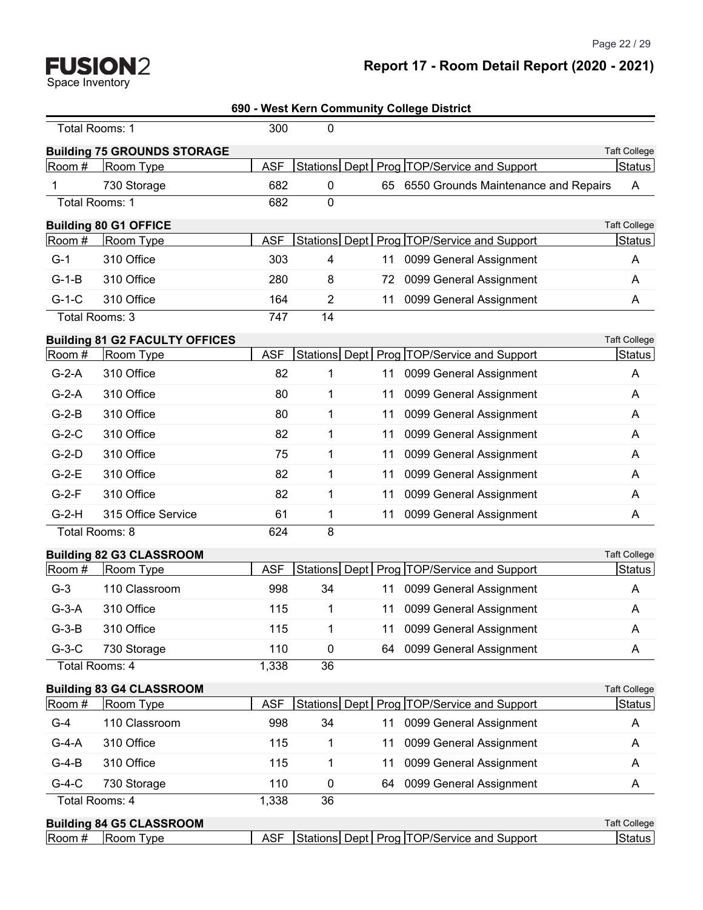—

# **Report 17 - Room Detail Report (2020 - 2021)**

| 690 - West Kern Community College District |
|--------------------------------------------|
|                                            |

|         | Total Rooms: 1                        | 300        | 0              |    |                                                |                     |
|---------|---------------------------------------|------------|----------------|----|------------------------------------------------|---------------------|
|         | <b>Building 75 GROUNDS STORAGE</b>    |            |                |    |                                                | <b>Taft College</b> |
| Room #  | Room Type                             | <b>ASF</b> |                |    | Stations Dept   Prog   TOP/Service and Support | Status              |
| 1       | 730 Storage                           | 682        | 0              |    | 65 6550 Grounds Maintenance and Repairs        | A                   |
|         | <b>Total Rooms: 1</b>                 | 682        | 0              |    |                                                |                     |
|         | <b>Building 80 G1 OFFICE</b>          |            |                |    |                                                | <b>Taft College</b> |
| Room #  | Room Type                             | <b>ASF</b> |                |    | Stations Dept   Prog   TOP/Service and Support | Status              |
| $G-1$   | 310 Office                            | 303        | 4              | 11 | 0099 General Assignment                        | Α                   |
| $G-1-B$ | 310 Office                            | 280        | 8              | 72 | 0099 General Assignment                        | A                   |
| $G-1-C$ | 310 Office                            | 164        | $\overline{2}$ | 11 | 0099 General Assignment                        | A                   |
|         | Total Rooms: 3                        | 747        | 14             |    |                                                |                     |
|         | <b>Building 81 G2 FACULTY OFFICES</b> |            |                |    |                                                | <b>Taft College</b> |
| Room #  | Room Type                             | <b>ASF</b> |                |    | Stations Dept   Prog   TOP/Service and Support | Status              |
| $G-2-A$ | 310 Office                            | 82         | 1              | 11 | 0099 General Assignment                        | A                   |
| $G-2-A$ | 310 Office                            | 80         | $\mathbf{1}$   | 11 | 0099 General Assignment                        | A                   |
| $G-2-B$ | 310 Office                            | 80         | 1              | 11 | 0099 General Assignment                        | A                   |
| $G-2-C$ | 310 Office                            | 82         | 1              | 11 | 0099 General Assignment                        | Α                   |
| $G-2-D$ | 310 Office                            | 75         | 1              | 11 | 0099 General Assignment                        | A                   |
| $G-2-E$ | 310 Office                            | 82         | 1              | 11 | 0099 General Assignment                        | A                   |
| $G-2-F$ | 310 Office                            | 82         | 1              | 11 | 0099 General Assignment                        | Α                   |
| $G-2-H$ | 315 Office Service                    | 61         | 1              | 11 | 0099 General Assignment                        | Α                   |
|         | Total Rooms: 8                        | 624        | 8              |    |                                                |                     |
|         | <b>Building 82 G3 CLASSROOM</b>       |            |                |    |                                                | <b>Taft College</b> |
| Room #  | Room Type                             | <b>ASF</b> |                |    | Stations Dept   Prog   TOP/Service and Support | Status              |
| $G-3$   | 110 Classroom                         | 998        | 34             | 11 | 0099 General Assignment                        | A                   |
| $G-3-A$ | 310 Office                            | 115        | 1              | 11 | 0099 General Assignment                        | A                   |
| $G-3-B$ | 310 Office                            | 115        | 1              | 11 | 0099 General Assignment                        | A                   |
| $G-3-C$ | 730 Storage                           | 110        | 0              | 64 | 0099 General Assignment                        | A                   |
|         | Total Rooms: 4                        | 1,338      | 36             |    |                                                |                     |
|         | <b>Building 83 G4 CLASSROOM</b>       |            |                |    |                                                | <b>Taft College</b> |
| Room #  | Room Type                             | <b>ASF</b> |                |    | Stations Dept   Prog   TOP/Service and Support | Status              |
| $G-4$   | 110 Classroom                         | 998        | 34             | 11 | 0099 General Assignment                        | A                   |
| $G-4-A$ | 310 Office                            | 115        | 1              | 11 | 0099 General Assignment                        | A                   |
| $G-4-B$ | 310 Office                            | 115        | 1              | 11 | 0099 General Assignment                        | A                   |
| $G-4-C$ | 730 Storage                           | 110        | 0              | 64 | 0099 General Assignment                        | A                   |
|         | Total Rooms: 4                        | 1,338      | 36             |    |                                                |                     |
|         | <b>Building 84 G5 CLASSROOM</b>       |            |                |    |                                                | <b>Taft College</b> |
| Room #  | Room Type                             | <b>ASF</b> |                |    | Stations Dept Prog TOP/Service and Support     | <b>Status</b>       |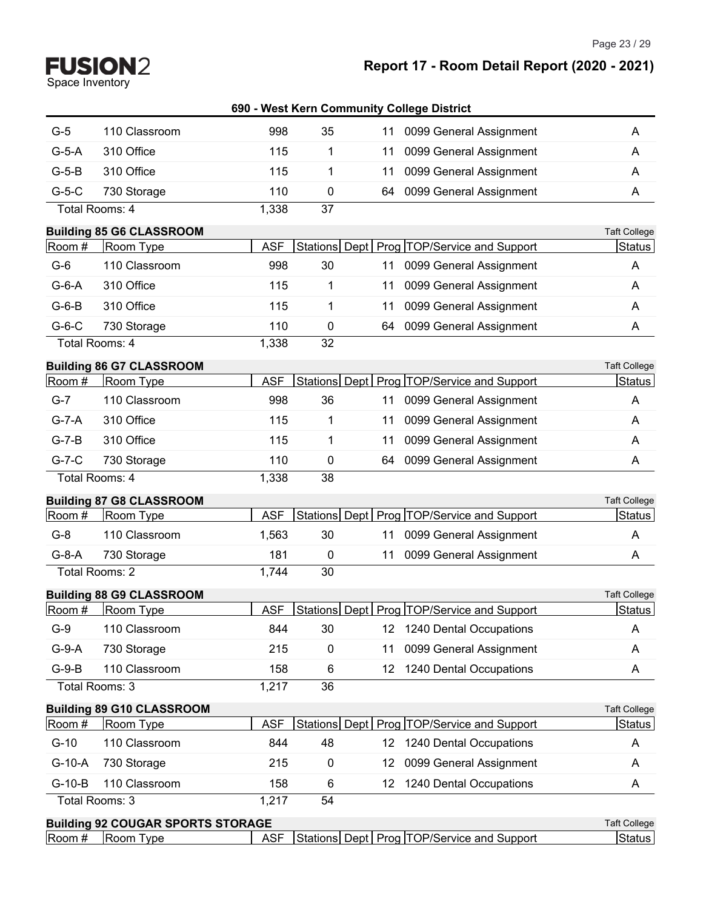Space Inventory

Page 23 / 29

|                |                                          |            |             |     | 690 - West Kern Community College District     |                     |
|----------------|------------------------------------------|------------|-------------|-----|------------------------------------------------|---------------------|
| $G-5$          | 110 Classroom                            | 998        | 35          | 11  | 0099 General Assignment                        | A                   |
| $G-5-A$        | 310 Office                               | 115        | 1           | 11  | 0099 General Assignment                        | A                   |
| $G-5-B$        | 310 Office                               | 115        | 1           | 11  | 0099 General Assignment                        | A                   |
| $G-5-C$        | 730 Storage                              | 110        | 0           | 64  | 0099 General Assignment                        | A                   |
|                | Total Rooms: 4                           | 1,338      | 37          |     |                                                |                     |
|                | <b>Building 85 G6 CLASSROOM</b>          |            |             |     |                                                | <b>Taft College</b> |
| Room #         | Room Type                                | <b>ASF</b> |             |     | Stations Dept   Prog   TOP/Service and Support | Status              |
| $G-6$          | 110 Classroom                            | 998        | 30          | 11  | 0099 General Assignment                        | A                   |
| $G-6-A$        | 310 Office                               | 115        | 1           | 11  | 0099 General Assignment                        | A                   |
| $G-6-B$        | 310 Office                               | 115        | 1           | 11  | 0099 General Assignment                        | A                   |
| $G-6-C$        | 730 Storage                              | 110        | 0           | 64  | 0099 General Assignment                        | A                   |
|                | Total Rooms: 4                           | 1,338      | 32          |     |                                                |                     |
|                | <b>Building 86 G7 CLASSROOM</b>          |            |             |     |                                                | <b>Taft College</b> |
| Room #         | Room Type                                | <b>ASF</b> |             |     | Stations Dept   Prog   TOP/Service and Support | Status              |
| $G-7$          | 110 Classroom                            | 998        | 36          | 11  | 0099 General Assignment                        | A                   |
| $G-7-A$        | 310 Office                               | 115        | 1           | 11  | 0099 General Assignment                        | A                   |
| $G-7-B$        | 310 Office                               | 115        | 1           | 11  | 0099 General Assignment                        | A                   |
| $G-7-C$        | 730 Storage                              | 110        | 0           | 64  | 0099 General Assignment                        | A                   |
| Total Rooms: 4 |                                          | 1,338      | 38          |     |                                                |                     |
|                | <b>Building 87 G8 CLASSROOM</b>          |            |             |     |                                                | <b>Taft College</b> |
| Room #         | Room Type                                | <b>ASF</b> |             |     | Stations Dept   Prog   TOP/Service and Support | Status              |
| $G-8$          | 110 Classroom                            | 1,563      | 30          | 11  | 0099 General Assignment                        | A                   |
| $G-8-A$        | 730 Storage                              | 181        | $\mathbf 0$ | 11  | 0099 General Assignment                        | A                   |
|                | Total Rooms: 2                           | 1,744      | 30          |     |                                                |                     |
|                | <b>Building 88 G9 CLASSROOM</b>          |            |             |     |                                                | <b>Taft College</b> |
| Room#          | Room Type                                | <b>ASF</b> |             |     | Stations Dept Prog TOP/Service and Support     | <b>Status</b>       |
| $G-9$          | 110 Classroom                            | 844        | 30          | 12  | 1240 Dental Occupations                        | A                   |
| $G-9-A$        | 730 Storage                              | 215        | 0           | 11  | 0099 General Assignment                        | A                   |
| $G-9-B$        | 110 Classroom                            | 158        | 6           | 12  | 1240 Dental Occupations                        | A                   |
|                | Total Rooms: 3                           | 1,217      | 36          |     |                                                |                     |
|                | <b>Building 89 G10 CLASSROOM</b>         |            |             |     |                                                | <b>Taft College</b> |
| Room #         | Room Type                                | <b>ASF</b> |             |     | Stations Dept Prog TOP/Service and Support     | Status              |
| $G-10$         | 110 Classroom                            | 844        | 48          |     | 12 1240 Dental Occupations                     | A                   |
| $G-10-A$       | 730 Storage                              | 215        | 0           | 12. | 0099 General Assignment                        | A                   |
| $G-10-B$       | 110 Classroom                            | 158        | 6           | 12  | 1240 Dental Occupations                        | A                   |
|                | Total Rooms: 3                           | 1,217      | 54          |     |                                                |                     |
|                | <b>Building 92 COUGAR SPORTS STORAGE</b> |            |             |     |                                                | <b>Taft College</b> |

Room # Room Type ASF Stations Dept Prog TOP/Service and Support Status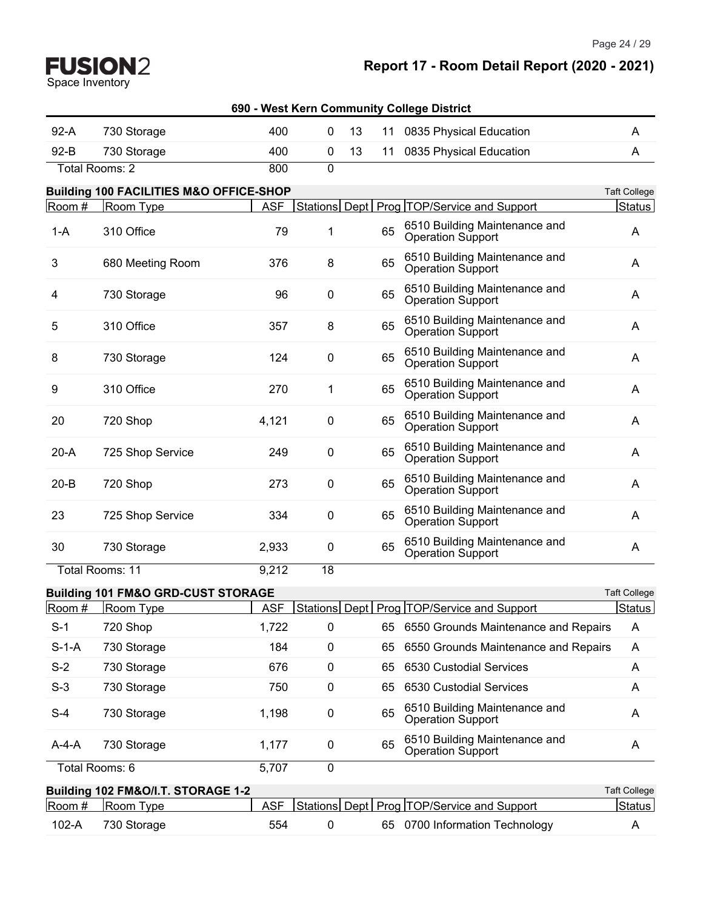Page 24 / 29

| 690 - West Kern Community College District |
|--------------------------------------------|
|--------------------------------------------|

| $92-A$   | 730 Storage                                        | 400        | 0             | 13 | 11 | 0835 Physical Education                                   | A                   |
|----------|----------------------------------------------------|------------|---------------|----|----|-----------------------------------------------------------|---------------------|
| $92 - B$ | 730 Storage                                        | 400        | 0             | 13 | 11 | 0835 Physical Education                                   | A                   |
|          | Total Rooms: 2                                     | 800        | $\mathbf 0$   |    |    |                                                           |                     |
|          | <b>Building 100 FACILITIES M&amp;O OFFICE-SHOP</b> |            |               |    |    |                                                           | <b>Taft College</b> |
| Room #   | Room Type                                          | <b>ASF</b> | Stations Dept |    |    | Prog TOP/Service and Support                              | Status              |
| $1-A$    | 310 Office                                         | 79         | 1             |    | 65 | 6510 Building Maintenance and<br>Operation Support        | A                   |
| 3        | 680 Meeting Room                                   | 376        | 8             |    | 65 | 6510 Building Maintenance and<br><b>Operation Support</b> | A                   |
| 4        | 730 Storage                                        | 96         | 0             |    | 65 | 6510 Building Maintenance and<br><b>Operation Support</b> | A                   |
| 5        | 310 Office                                         | 357        | 8             |    | 65 | 6510 Building Maintenance and<br><b>Operation Support</b> | A                   |
| 8        | 730 Storage                                        | 124        | 0             |    | 65 | 6510 Building Maintenance and<br>Operation Support        | A                   |
| 9        | 310 Office                                         | 270        | 1             |    | 65 | 6510 Building Maintenance and<br>Operation Support        | A                   |
| 20       | 720 Shop                                           | 4,121      | 0             |    | 65 | 6510 Building Maintenance and<br><b>Operation Support</b> | A                   |
| $20-A$   | 725 Shop Service                                   | 249        | $\pmb{0}$     |    | 65 | 6510 Building Maintenance and<br>Operation Support        | A                   |
| $20 - B$ | 720 Shop                                           | 273        | 0             |    | 65 | 6510 Building Maintenance and<br>Operation Support        | A                   |
| 23       | 725 Shop Service                                   | 334        | 0             |    | 65 | 6510 Building Maintenance and<br><b>Operation Support</b> | A                   |
| 30       | 730 Storage                                        | 2,933      | 0             |    | 65 | 6510 Building Maintenance and<br><b>Operation Support</b> | Α                   |
|          | <b>Total Rooms: 11</b>                             | 9,212      | 18            |    |    |                                                           |                     |
|          | <b>Building 101 FM&amp;O GRD-CUST STORAGE</b>      |            |               |    |    |                                                           | <b>Taft College</b> |
| Room #   | Room Type                                          | <b>ASF</b> |               |    |    | Stations Dept   Prog   TOP/Service and Support            | Status              |
| S-1      | 720 Shop                                           | 1,722      | 0             |    |    | 65 6550 Grounds Maintenance and Repairs                   | A                   |
| $S-1-A$  | 730 Storage                                        | 184        | 0             |    | 65 | 6550 Grounds Maintenance and Repairs                      | A                   |
| $S-2$    | 730 Storage                                        | 676        | 0             |    | 65 | 6530 Custodial Services                                   | A                   |
| $S-3$    | 730 Storage                                        | 750        | 0             |    | 65 | 6530 Custodial Services                                   | A                   |
| $S-4$    | 730 Storage                                        | 1,198      | 0             |    | 65 | 6510 Building Maintenance and<br><b>Operation Support</b> | A                   |
| $A-4-A$  | 730 Storage                                        | 1,177      | 0             |    | 65 | 6510 Building Maintenance and<br>Operation Support        | A                   |
|          | Total Rooms: 6                                     | 5,707      | $\pmb{0}$     |    |    |                                                           |                     |
|          | Building 102 FM&O/I.T. STORAGE 1-2                 |            |               |    |    |                                                           | <b>Taft College</b> |
| Room #   | Room Type                                          | <b>ASF</b> |               |    |    | Stations Dept   Prog   TOP/Service and Support            | <b>Status</b>       |
| 102-A    | 730 Storage                                        | 554        | 0             |    |    | 65 0700 Information Technology                            | A                   |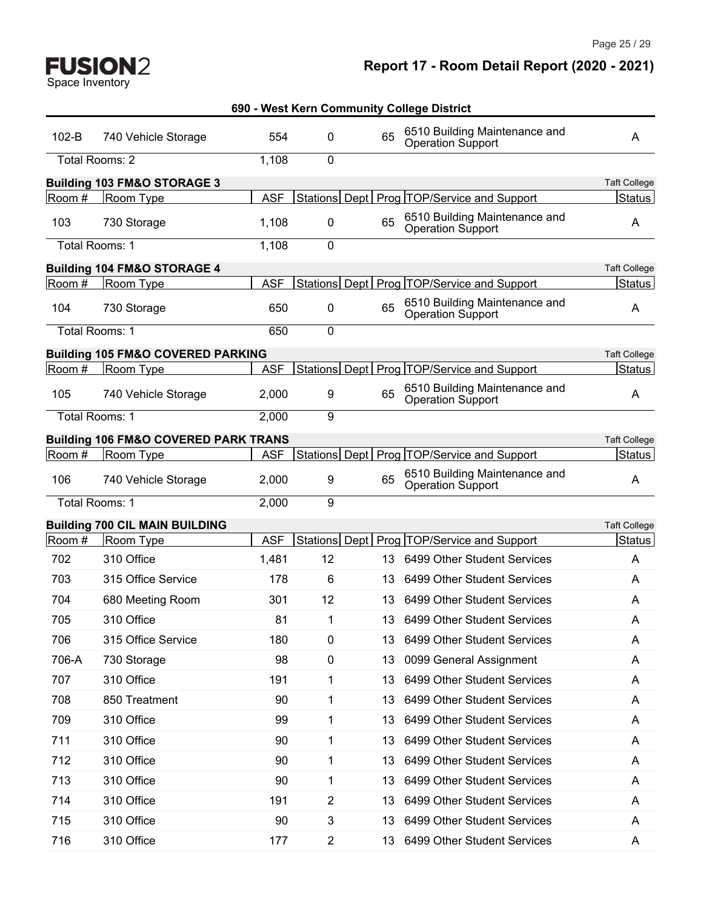Page 25 / 29

| $102-B$ | 740 Vehicle Storage                             | 554        | $\mathbf{0}$   | 65  | 6510 Building Maintenance and<br><b>Operation Support</b> | A                   |
|---------|-------------------------------------------------|------------|----------------|-----|-----------------------------------------------------------|---------------------|
|         | Total Rooms: 2                                  | 1,108      | 0              |     |                                                           |                     |
|         | <b>Building 103 FM&amp;O STORAGE 3</b>          |            |                |     |                                                           | <b>Taft College</b> |
| Room #  | Room Type                                       | <b>ASF</b> |                |     | Stations Dept   Prog   TOP/Service and Support            | <b>Status</b>       |
| 103     | 730 Storage                                     | 1,108      | 0              | 65  | 6510 Building Maintenance and<br>Operation Support        | A                   |
|         | Total Rooms: 1                                  | 1,108      | 0              |     |                                                           |                     |
|         | <b>Building 104 FM&amp;O STORAGE 4</b>          |            |                |     |                                                           | <b>Taft College</b> |
| Room#   | Room Type                                       | <b>ASF</b> |                |     | Stations Dept   Prog   TOP/Service and Support            | <b>Status</b>       |
| 104     | 730 Storage                                     | 650        | 0              | 65  | 6510 Building Maintenance and<br><b>Operation Support</b> | A                   |
|         | Total Rooms: 1                                  | 650        | 0              |     |                                                           |                     |
|         | <b>Building 105 FM&amp;O COVERED PARKING</b>    |            |                |     |                                                           | <b>Taft College</b> |
| Room #  | Room Type                                       | <b>ASF</b> |                |     | Stations Dept   Prog   TOP/Service and Support            | <b>Status</b>       |
| 105     | 740 Vehicle Storage                             | 2,000      | 9              | 65  | 6510 Building Maintenance and<br><b>Operation Support</b> | A                   |
|         | Total Rooms: 1                                  | 2,000      | 9              |     |                                                           |                     |
|         | <b>Building 106 FM&amp;O COVERED PARK TRANS</b> |            |                |     |                                                           | <b>Taft College</b> |
| Room #  | Room Type                                       | <b>ASF</b> |                |     | Stations Dept   Prog   TOP/Service and Support            | <b>Status</b>       |
| 106     | 740 Vehicle Storage                             | 2,000      | 9              | 65  | 6510 Building Maintenance and<br><b>Operation Support</b> | A                   |
|         | Total Rooms: 1                                  | 2,000      | 9              |     |                                                           |                     |
|         | <b>Building 700 CIL MAIN BUILDING</b>           |            |                |     |                                                           | <b>Taft College</b> |
| Room #  | Room Type                                       | <b>ASF</b> |                |     | Stations Dept   Prog   TOP/Service and Support            | <b>Status</b>       |
| 702     | 310 Office                                      | 1,481      | 12             | 13  | 6499 Other Student Services                               | A                   |
| 703     | 315 Office Service                              | 178        | 6              | 13  | 6499 Other Student Services                               | A                   |
| 704     | 680 Meeting Room                                | 301        | 12             | 13  | 6499 Other Student Services                               | A                   |
| 705     | 310 Office                                      | 81         | 1              | 13  | 6499 Other Student Services                               | A                   |
| 706     | 315 Office Service                              | 180        | 0              | 13. | 6499 Other Student Services                               | A                   |
| 706-A   | 730 Storage                                     | 98         | 0              | 13  | 0099 General Assignment                                   | Α                   |
| 707     | 310 Office                                      | 191        | $\mathbf{1}$   | 13  | 6499 Other Student Services                               | A                   |
| 708     | 850 Treatment                                   | 90         | 1              | 13  | 6499 Other Student Services                               | A                   |
| 709     | 310 Office                                      | 99         | 1              | 13  | 6499 Other Student Services                               | A                   |
| 711     | 310 Office                                      | 90         | 1              | 13  | 6499 Other Student Services                               | A                   |
| 712     | 310 Office                                      | 90         | 1              | 13  | 6499 Other Student Services                               | A                   |
| 713     | 310 Office                                      | 90         | 1              | 13  | 6499 Other Student Services                               | A                   |
| 714     | 310 Office                                      | 191        | $\overline{2}$ | 13  | 6499 Other Student Services                               | A                   |
| 715     | 310 Office                                      | 90         | 3              | 13  | 6499 Other Student Services                               | A                   |
| 716     | 310 Office                                      | 177        | $\overline{c}$ | 13  | 6499 Other Student Services                               | A                   |
|         |                                                 |            |                |     |                                                           |                     |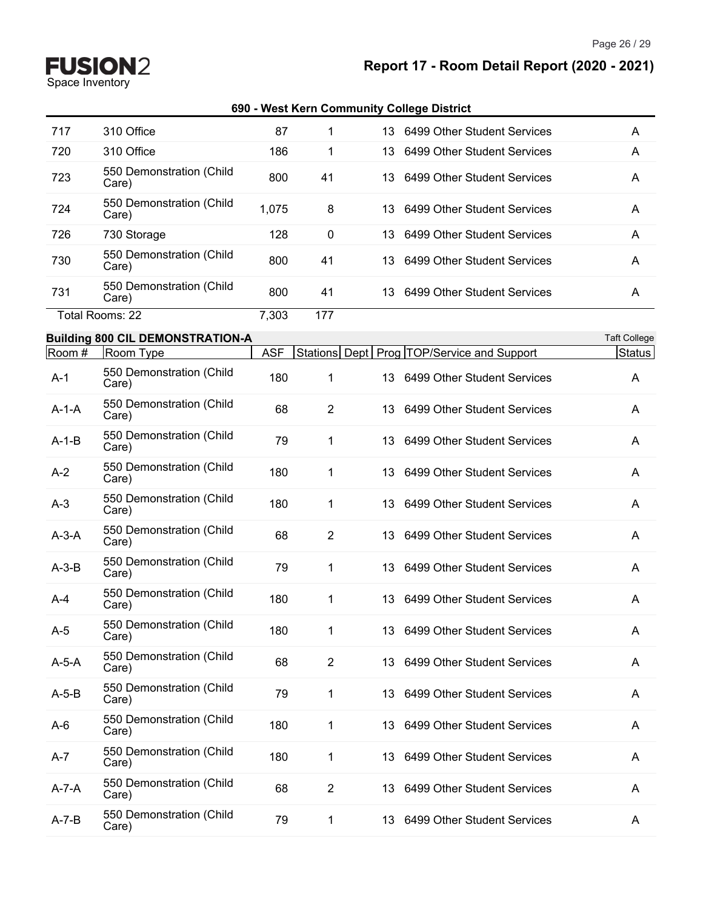Page 26 / 29

**Report 17 - Room Detail Report (2020 - 2021)**

**FUSION2**<br>Space Inventory

| 717         | 310 Office                              | 87         | 1              | 13   | 6499 Other Student Services                    | A                   |
|-------------|-----------------------------------------|------------|----------------|------|------------------------------------------------|---------------------|
| 720         | 310 Office                              | 186        | 1              | 13   | 6499 Other Student Services                    | A                   |
| 723         | 550 Demonstration (Child<br>Care)       | 800        | 41             | 13   | 6499 Other Student Services                    | A                   |
| 724         | 550 Demonstration (Child<br>Care)       | 1,075      | 8              | 13   | 6499 Other Student Services                    | A                   |
| 726         | 730 Storage                             | 128        | 0              | 13   | 6499 Other Student Services                    | A                   |
| 730         | 550 Demonstration (Child<br>Care)       | 800        | 41             | 13   | 6499 Other Student Services                    | A                   |
| 731         | 550 Demonstration (Child<br>Care)       | 800        | 41             |      | 13 6499 Other Student Services                 | A                   |
|             | Total Rooms: 22                         | 7,303      | 177            |      |                                                |                     |
|             | <b>Building 800 CIL DEMONSTRATION-A</b> |            |                |      |                                                | <b>Taft College</b> |
| Room #      | Room Type                               | <b>ASF</b> |                |      | Stations Dept   Prog   TOP/Service and Support | Status              |
| $A-1$       | 550 Demonstration (Child<br>Care)       | 180        | 1              | 13.  | 6499 Other Student Services                    | A                   |
| $A-1-A$     | 550 Demonstration (Child<br>Care)       | 68         | $\overline{2}$ | 13.  | 6499 Other Student Services                    | A                   |
| $A-1-B$     | 550 Demonstration (Child<br>Care)       | 79         | 1              | 13   | 6499 Other Student Services                    | A                   |
| $A-2$       | 550 Demonstration (Child<br>Care)       | 180        | 1              | 13.  | 6499 Other Student Services                    | A                   |
| $A-3$       | 550 Demonstration (Child<br>Care)       | 180        | 1              | 13.  | 6499 Other Student Services                    | A                   |
| $A-3-A$     | 550 Demonstration (Child<br>Care)       | 68         | $\overline{2}$ | 13   | 6499 Other Student Services                    | A                   |
| $A-3-B$     | 550 Demonstration (Child<br>Care)       | 79         | 1              | 13   | 6499 Other Student Services                    | A                   |
| A-4         | 550 Demonstration (Child<br>Care)       | 180        | 1              | 13   | 6499 Other Student Services                    | A                   |
| $A-5$       | 550 Demonstration (Child<br>Care)       | 180        | 1.             |      | 13 6499 Other Student Services                 | Α                   |
| $A-5-A$     | 550 Demonstration (Child<br>Care)       | 68         | $\overline{2}$ |      | 13 6499 Other Student Services                 | A                   |
| $A-5-B$     | 550 Demonstration (Child<br>Care)       | 79         | 1              | 13   | 6499 Other Student Services                    | A                   |
| A-6         | 550 Demonstration (Child<br>Care)       | 180        | 1              |      | 13 6499 Other Student Services                 | A                   |
| A-7         | 550 Demonstration (Child<br>Care)       | 180        | 1              | 13   | 6499 Other Student Services                    | A                   |
| $A - 7 - A$ | 550 Demonstration (Child<br>Care)       | 68         | $\overline{2}$ |      | 13 6499 Other Student Services                 | A                   |
| $A - 7 - B$ | 550 Demonstration (Child<br>Care)       | 79         | 1              | 13 - | 6499 Other Student Services                    | A                   |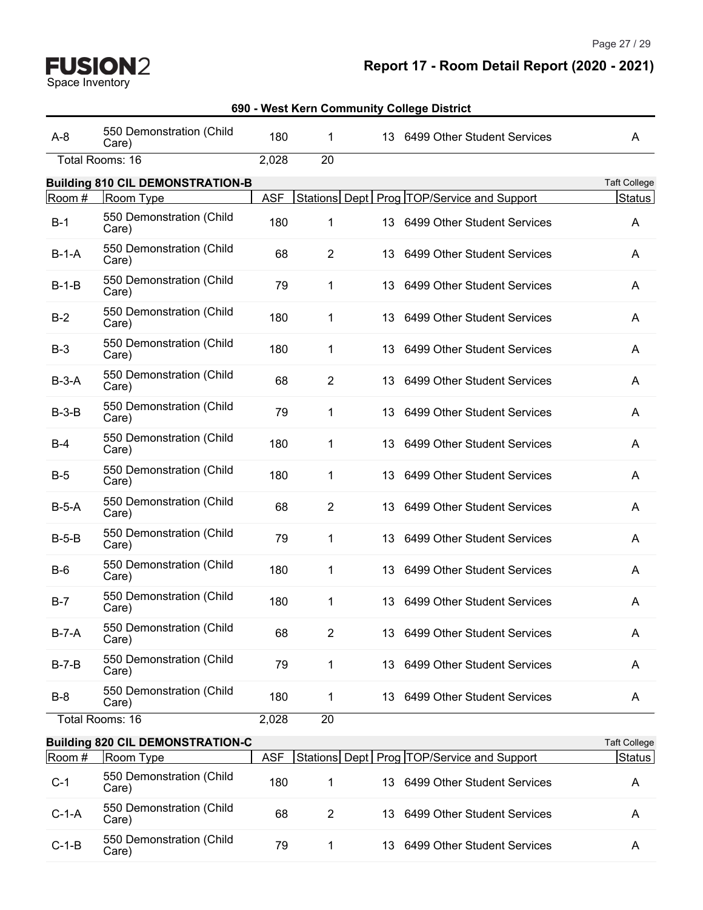Space Inventory

# **Report 17 - Room Detail Report (2020 - 2021)**

| $A-8$   | 550 Demonstration (Child<br>Care)       | 180        | 1              |      | 13 6499 Other Student Services                 | A                   |
|---------|-----------------------------------------|------------|----------------|------|------------------------------------------------|---------------------|
|         | Total Rooms: 16                         | 2,028      | 20             |      |                                                |                     |
|         | <b>Building 810 CIL DEMONSTRATION-B</b> |            |                |      |                                                | <b>Taft College</b> |
| Room #  | Room Type                               | <b>ASF</b> |                |      | Stations Dept   Prog   TOP/Service and Support | Status              |
| $B-1$   | 550 Demonstration (Child<br>Care)       | 180        | 1              |      | 13 6499 Other Student Services                 | A                   |
| $B-1-A$ | 550 Demonstration (Child<br>Care)       | 68         | $\overline{2}$ |      | 13 6499 Other Student Services                 | A                   |
| $B-1-B$ | 550 Demonstration (Child<br>Care)       | 79         | 1              | 13.  | 6499 Other Student Services                    | A                   |
| $B-2$   | 550 Demonstration (Child<br>Care)       | 180        | 1              |      | 13 6499 Other Student Services                 | A                   |
| $B-3$   | 550 Demonstration (Child<br>Care)       | 180        | 1              | 13   | 6499 Other Student Services                    | A                   |
| $B-3-A$ | 550 Demonstration (Child<br>Care)       | 68         | $\overline{2}$ |      | 13 6499 Other Student Services                 | A                   |
| $B-3-B$ | 550 Demonstration (Child<br>Care)       | 79         | 1              | 13   | 6499 Other Student Services                    | A                   |
| $B-4$   | 550 Demonstration (Child<br>Care)       | 180        | 1              | 13.  | 6499 Other Student Services                    | A                   |
| $B-5$   | 550 Demonstration (Child<br>Care)       | 180        | 1              |      | 13 6499 Other Student Services                 | A                   |
| $B-5-A$ | 550 Demonstration (Child<br>Care)       | 68         | $\overline{2}$ | 13   | 6499 Other Student Services                    | A                   |
| $B-5-B$ | 550 Demonstration (Child<br>Care)       | 79         | 1              |      | 13 6499 Other Student Services                 | A                   |
| $B-6$   | 550 Demonstration (Child<br>Care)       | 180        | 1              | 13   | 6499 Other Student Services                    | A                   |
| $B-7$   | 550 Demonstration (Child<br>Care)       | 180        | 1              |      | 13 6499 Other Student Services                 | A                   |
| $B-7-A$ | 550 Demonstration (Child<br>Care)       | 68         | $\overline{2}$ |      | 13 6499 Other Student Services                 | Α                   |
| $B-7-B$ | 550 Demonstration (Child<br>Care)       | 79         | 1              |      | 13 6499 Other Student Services                 | A                   |
| $B-8$   | 550 Demonstration (Child<br>Care)       | 180        | 1              |      | 13 6499 Other Student Services                 | A                   |
|         | Total Rooms: 16                         | 2,028      | 20             |      |                                                |                     |
|         | <b>Building 820 CIL DEMONSTRATION-C</b> |            |                |      |                                                | <b>Taft College</b> |
| Room #  | Room Type                               | <b>ASF</b> |                |      | Stations Dept   Prog   TOP/Service and Support | Status              |
| $C-1$   | 550 Demonstration (Child<br>Care)       | 180        | 1              | 13.  | 6499 Other Student Services                    | A                   |
| $C-1-A$ | 550 Demonstration (Child<br>Care)       | 68         | $\overline{2}$ | 13 - | 6499 Other Student Services                    | A                   |
| $C-1-B$ | 550 Demonstration (Child<br>Care)       | 79         | 1              | 13   | 6499 Other Student Services                    | A                   |
|         |                                         |            |                |      |                                                |                     |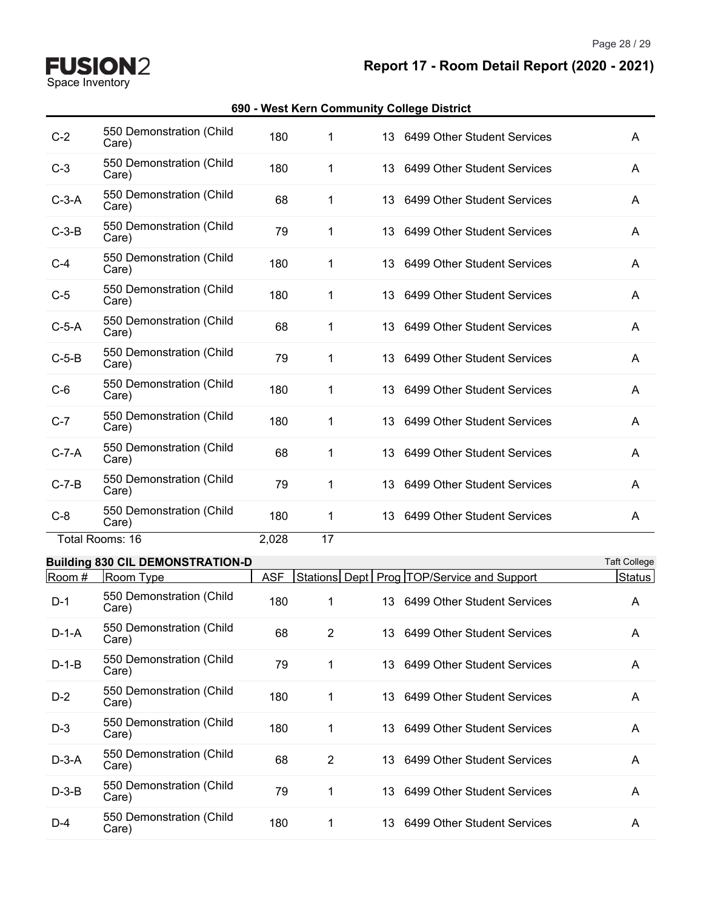Page 28 / 29

**Report 17 - Room Detail Report (2020 - 2021)**

#### **690 - West Kern Community College District**

| $C-2$   | 550 Demonstration (Child<br>Care) | 180   | 1  | 13 6499 Other Student Services                 | A            |
|---------|-----------------------------------|-------|----|------------------------------------------------|--------------|
| $C-3$   | 550 Demonstration (Child<br>Care) | 180   | 1  | 13 6499 Other Student Services                 | $\mathsf{A}$ |
| $C-3-A$ | 550 Demonstration (Child<br>Care) | 68    | 1  | 13 6499 Other Student Services                 | A            |
| $C-3-B$ | 550 Demonstration (Child<br>Care) | 79    | 1  | 13 6499 Other Student Services                 | A            |
| $C-4$   | 550 Demonstration (Child<br>Care) | 180   | 1  | 6499 Other Student Services<br>13.             | A            |
| $C-5$   | 550 Demonstration (Child<br>Care) | 180   | 1  | 13 6499 Other Student Services                 | A            |
| $C-5-A$ | 550 Demonstration (Child<br>Care) | 68    | 1  | 6499 Other Student Services<br>13 <sup>1</sup> | A            |
| $C-5-B$ | 550 Demonstration (Child<br>Care) | 79    | 1  | 6499 Other Student Services<br>13 <sup>1</sup> | A            |
| $C-6$   | 550 Demonstration (Child<br>Care) | 180   | 1  | 6499 Other Student Services<br>13 <sup>1</sup> | A            |
| $C-7$   | 550 Demonstration (Child<br>Care) | 180   | 1  | 13 6499 Other Student Services                 | A            |
| $C-7-A$ | 550 Demonstration (Child<br>Care) | 68    | 1  | 6499 Other Student Services<br>13              | $\mathsf{A}$ |
| $C-7-B$ | 550 Demonstration (Child<br>Care) | 79    | 1  | 13 6499 Other Student Services                 | A            |
| $C-8$   | 550 Demonstration (Child<br>Care) | 180   | 1  | 13 6499 Other Student Services                 | A            |
|         | Total Rooms: 16                   | 2,028 | 17 |                                                |              |

#### **Building 830 CIL DEMONSTRATION-D COLLEGE ACCORDING TO A SET ON A SET OF A SET OF A SET OF A SET OF A SET OF A SET OF A SET OF A SET OF A SET OF A SET OF A SET OF A SET OF A SET OF A SET OF A SET OF A SET OF A SET OF A S**

| .       |                                   |            |                |     |                                                |        |
|---------|-----------------------------------|------------|----------------|-----|------------------------------------------------|--------|
| Room #  | Room Type                         | <b>ASF</b> |                |     | Stations Dept   Prog   TOP/Service and Support | Status |
| $D-1$   | 550 Demonstration (Child<br>Care) | 180        |                |     | 13 6499 Other Student Services                 | A      |
| $D-1-A$ | 550 Demonstration (Child<br>Care) | 68         | $\overline{2}$ |     | 13 6499 Other Student Services                 | A      |
| $D-1-B$ | 550 Demonstration (Child<br>Care) | 79         |                |     | 13 6499 Other Student Services                 | A      |
| $D-2$   | 550 Demonstration (Child<br>Care) | 180        | 1              |     | 13 6499 Other Student Services                 | A      |
| $D-3$   | 550 Demonstration (Child<br>Care) | 180        | 1              |     | 13 6499 Other Student Services                 | A      |
| $D-3-A$ | 550 Demonstration (Child<br>Care) | 68         | 2              |     | 13 6499 Other Student Services                 | A      |
| $D-3-B$ | 550 Demonstration (Child<br>Care) | 79         |                |     | 13 6499 Other Student Services                 | A      |
| $D-4$   | 550 Demonstration (Child<br>Care) | 180        |                | 13. | 6499 Other Student Services                    | A      |